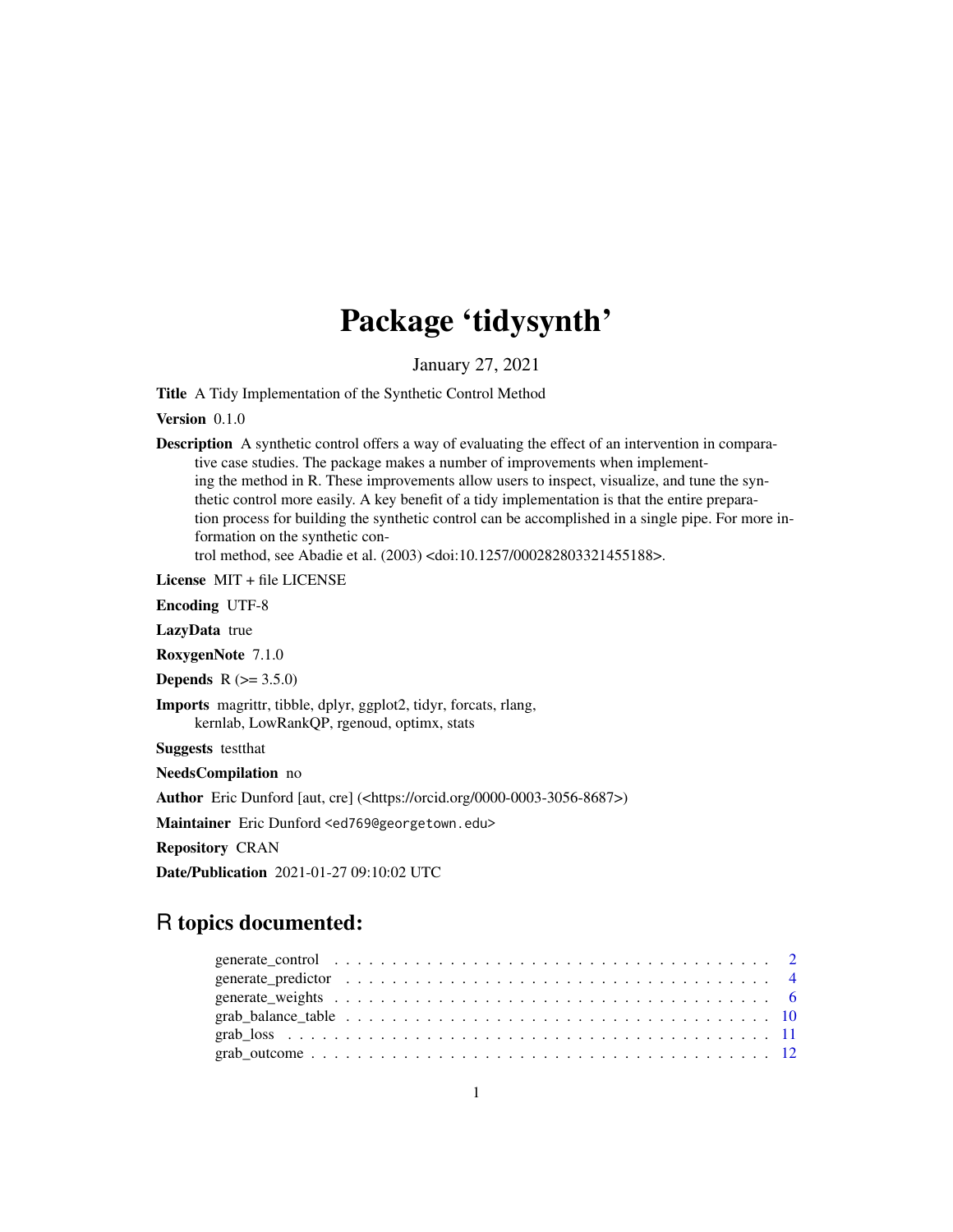# Package 'tidysynth'

January 27, 2021

Title A Tidy Implementation of the Synthetic Control Method

Version 0.1.0

Description A synthetic control offers a way of evaluating the effect of an intervention in comparative case studies. The package makes a number of improvements when implementing the method in R. These improvements allow users to inspect, visualize, and tune the synthetic control more easily. A key benefit of a tidy implementation is that the entire preparation process for building the synthetic control can be accomplished in a single pipe. For more information on the synthetic control method, see Abadie et al. (2003) <doi:10.1257/000282803321455188>.

License MIT + file LICENSE

Encoding UTF-8

LazyData true

RoxygenNote 7.1.0

**Depends**  $R (= 3.5.0)$ 

Imports magrittr, tibble, dplyr, ggplot2, tidyr, forcats, rlang, kernlab, LowRankQP, rgenoud, optimx, stats

Suggests testthat

NeedsCompilation no

Author Eric Dunford [aut, cre] (<https://orcid.org/0000-0003-3056-8687>)

Maintainer Eric Dunford <ed769@georgetown.edu>

Repository CRAN

Date/Publication 2021-01-27 09:10:02 UTC

# R topics documented: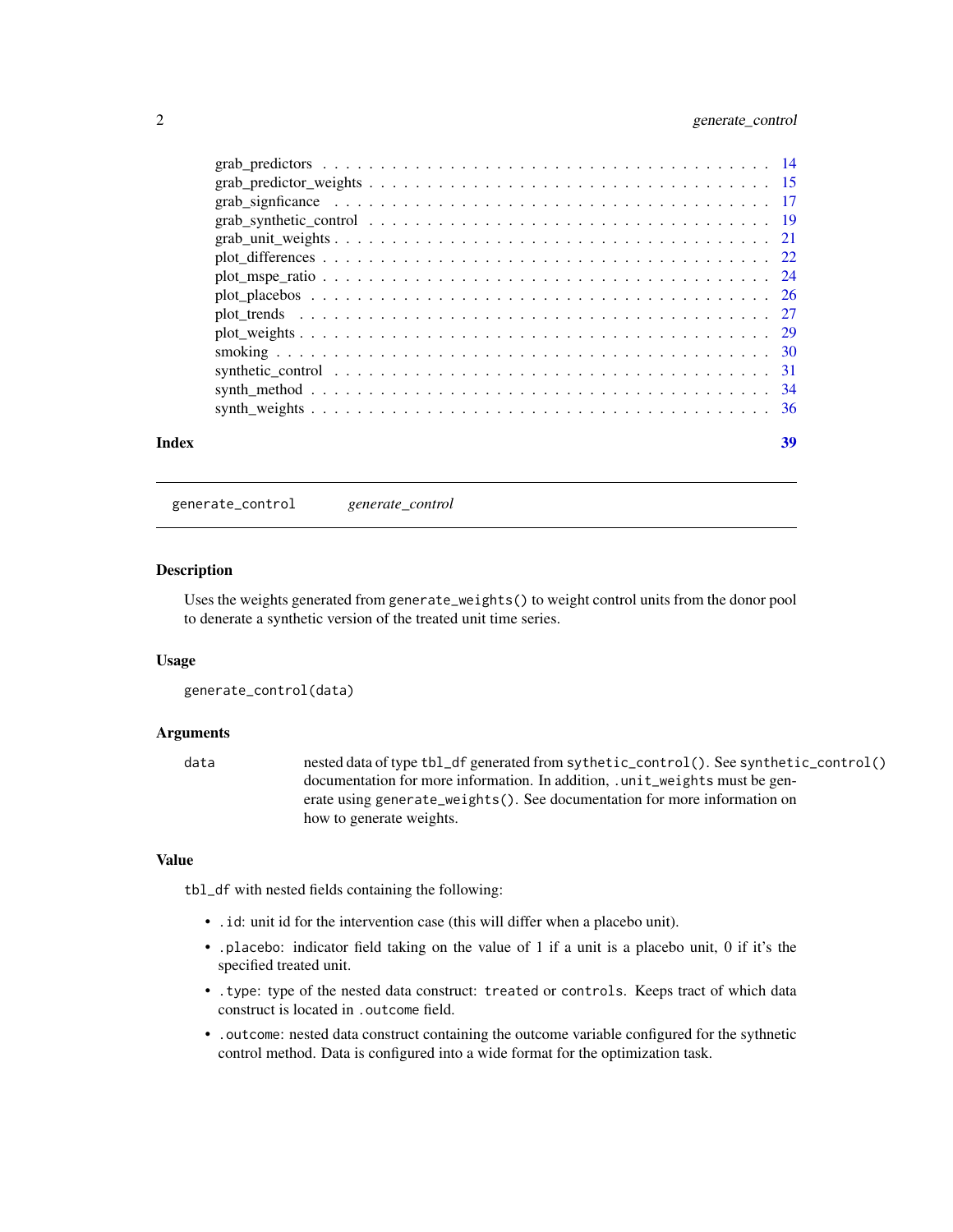# <span id="page-1-0"></span>2 generate\_control

| Index | 39 |
|-------|----|
|       |    |
|       |    |
|       |    |
|       |    |
|       |    |
|       |    |
|       |    |
|       |    |
|       |    |
|       |    |
|       |    |
|       |    |
|       |    |
|       |    |

generate\_control *generate\_control*

#### Description

Uses the weights generated from generate\_weights() to weight control units from the donor pool to denerate a synthetic version of the treated unit time series.

#### Usage

```
generate_control(data)
```
# Arguments

data nested data of type tbl\_df generated from sythetic\_control(). See synthetic\_control() documentation for more information. In addition, .unit\_weights must be generate using generate\_weights(). See documentation for more information on how to generate weights.

### Value

tbl\_df with nested fields containing the following:

- .id: unit id for the intervention case (this will differ when a placebo unit).
- .placebo: indicator field taking on the value of 1 if a unit is a placebo unit, 0 if it's the specified treated unit.
- .type: type of the nested data construct: treated or controls. Keeps tract of which data construct is located in .outcome field.
- .outcome: nested data construct containing the outcome variable configured for the sythnetic control method. Data is configured into a wide format for the optimization task.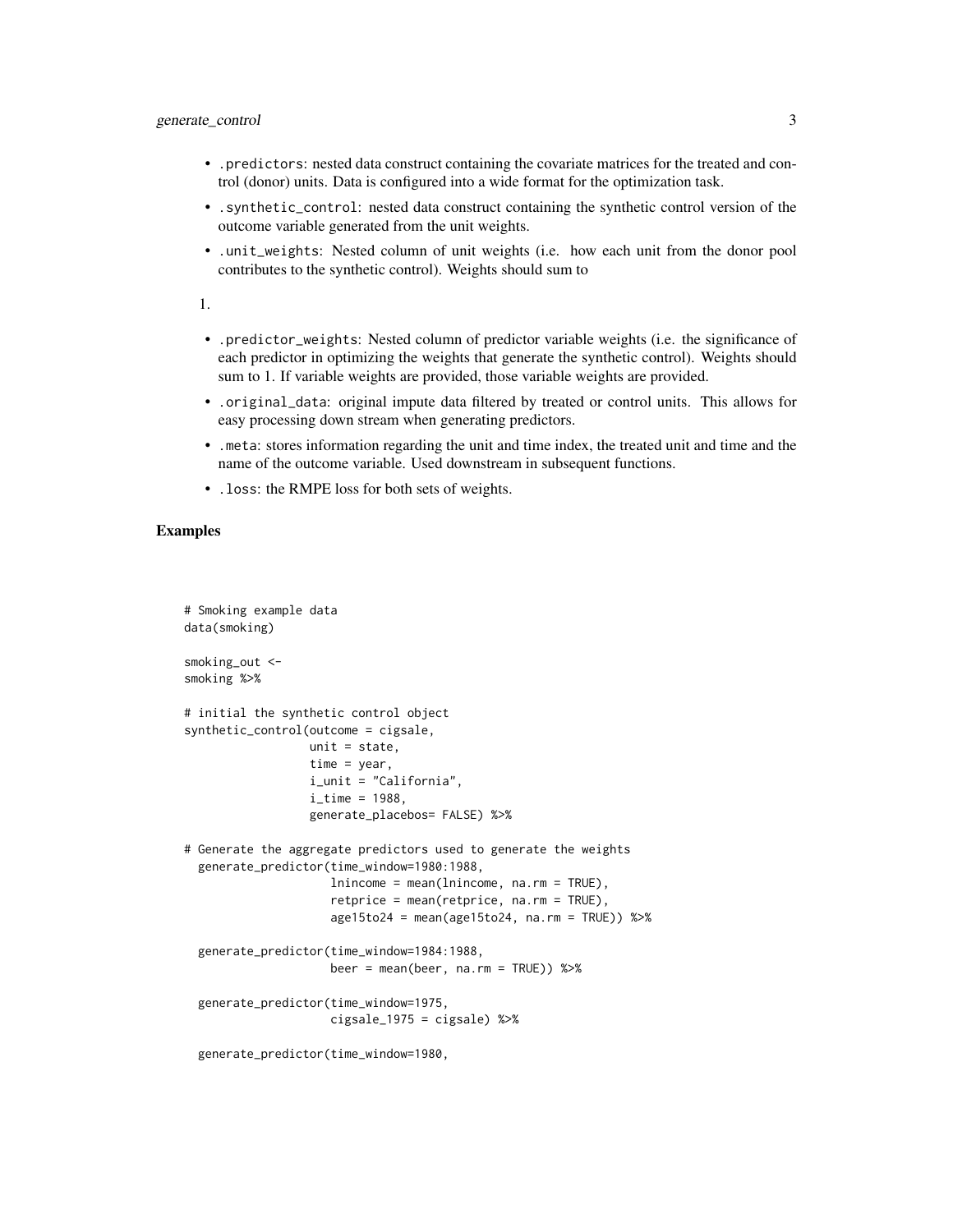# generate\_control 3

- .predictors: nested data construct containing the covariate matrices for the treated and control (donor) units. Data is configured into a wide format for the optimization task.
- .synthetic\_control: nested data construct containing the synthetic control version of the outcome variable generated from the unit weights.
- .unit\_weights: Nested column of unit weights (i.e. how each unit from the donor pool contributes to the synthetic control). Weights should sum to

1.

- .predictor\_weights: Nested column of predictor variable weights (i.e. the significance of each predictor in optimizing the weights that generate the synthetic control). Weights should sum to 1. If variable weights are provided, those variable weights are provided.
- .original\_data: original impute data filtered by treated or control units. This allows for easy processing down stream when generating predictors.
- .meta: stores information regarding the unit and time index, the treated unit and time and the name of the outcome variable. Used downstream in subsequent functions.
- .loss: the RMPE loss for both sets of weights.

# Examples

```
# Smoking example data
data(smoking)
smoking_out <-
smoking %>%
# initial the synthetic control object
synthetic_control(outcome = cigsale,
                  unit = state,time = year,
                  i_unit = "California",
                  i<sub>_time</sub> = 1988,
                  generate_placebos= FALSE) %>%
# Generate the aggregate predictors used to generate the weights
 generate_predictor(time_window=1980:1988,
                     lnincome = mean(lnincome, na.rm = TRUE),
                     retprice = mean(retprice, na.rm = TRUE),
                     age15to24 = mean(age15to24, na.rm = TRUE)) %>%
 generate_predictor(time_window=1984:1988,
                     beer = mean(beer, na.rm = TRUE) %>%
 generate_predictor(time_window=1975,
                     cigsale_1975 = cigsale) %>%
```
generate\_predictor(time\_window=1980,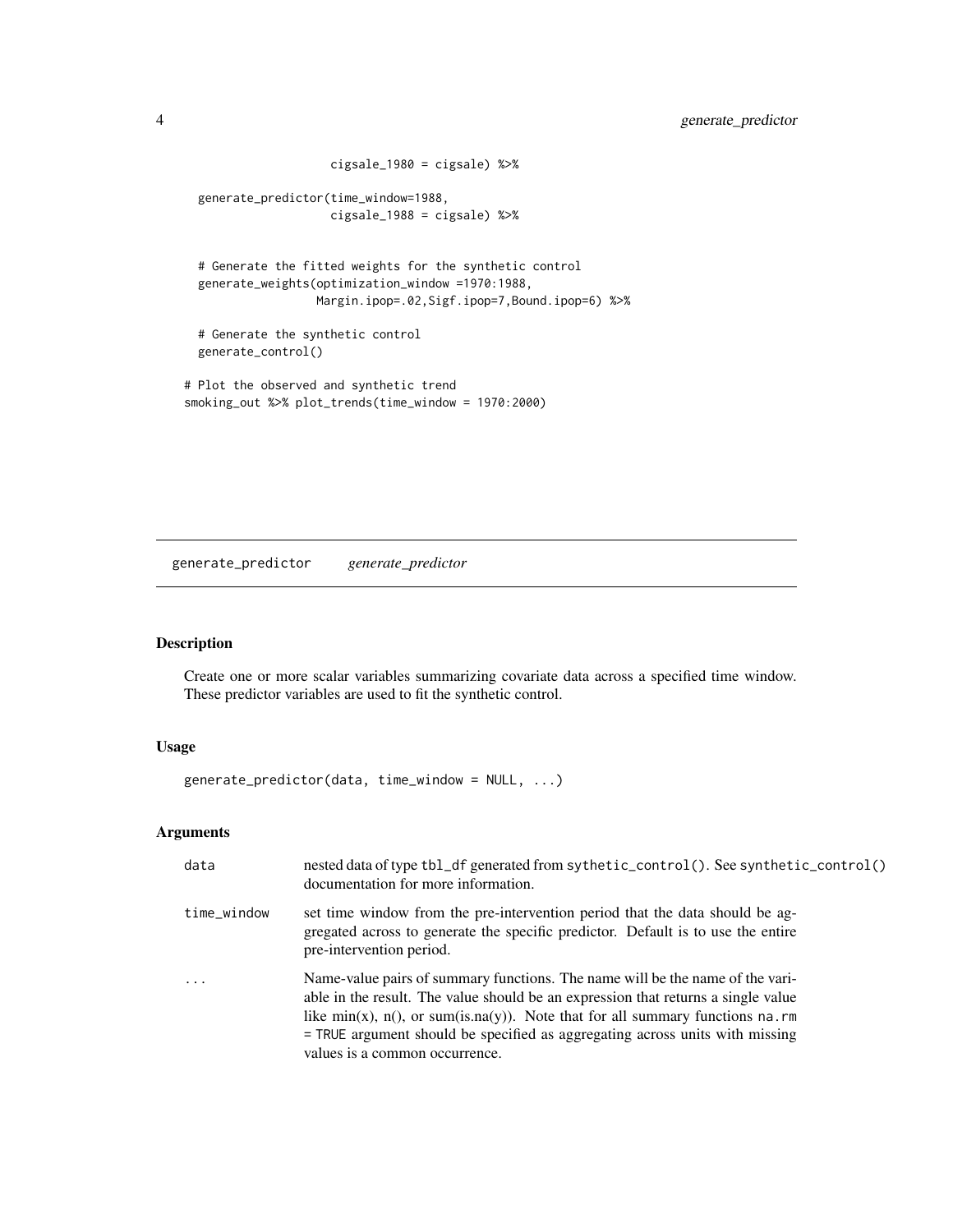```
cigsale_1980 = cigsale) %>%
 generate_predictor(time_window=1988,
                    cigsale_1988 = cigsale) %>%
 # Generate the fitted weights for the synthetic control
 generate_weights(optimization_window =1970:1988,
                  Margin.ipop=.02,Sigf.ipop=7,Bound.ipop=6) %>%
 # Generate the synthetic control
 generate_control()
# Plot the observed and synthetic trend
smoking_out %>% plot_trends(time_window = 1970:2000)
```
generate\_predictor *generate\_predictor*

# Description

Create one or more scalar variables summarizing covariate data across a specified time window. These predictor variables are used to fit the synthetic control.

# Usage

generate\_predictor(data, time\_window = NULL, ...)

# Arguments

| data        | nested data of type tbl_df generated from sythetic_control(). See synthetic_control()<br>documentation for more information.                                                                                                                                                                                                                                                |
|-------------|-----------------------------------------------------------------------------------------------------------------------------------------------------------------------------------------------------------------------------------------------------------------------------------------------------------------------------------------------------------------------------|
| time_window | set time window from the pre-intervention period that the data should be ag-<br>gregated across to generate the specific predictor. Default is to use the entire<br>pre-intervention period.                                                                                                                                                                                |
| .           | Name-value pairs of summary functions. The name will be the name of the vari-<br>able in the result. The value should be an expression that returns a single value<br>like $min(x)$ , $n()$ , or sum(is.na(y)). Note that for all summary functions na.rm<br>= TRUE argument should be specified as aggregating across units with missing<br>values is a common occurrence. |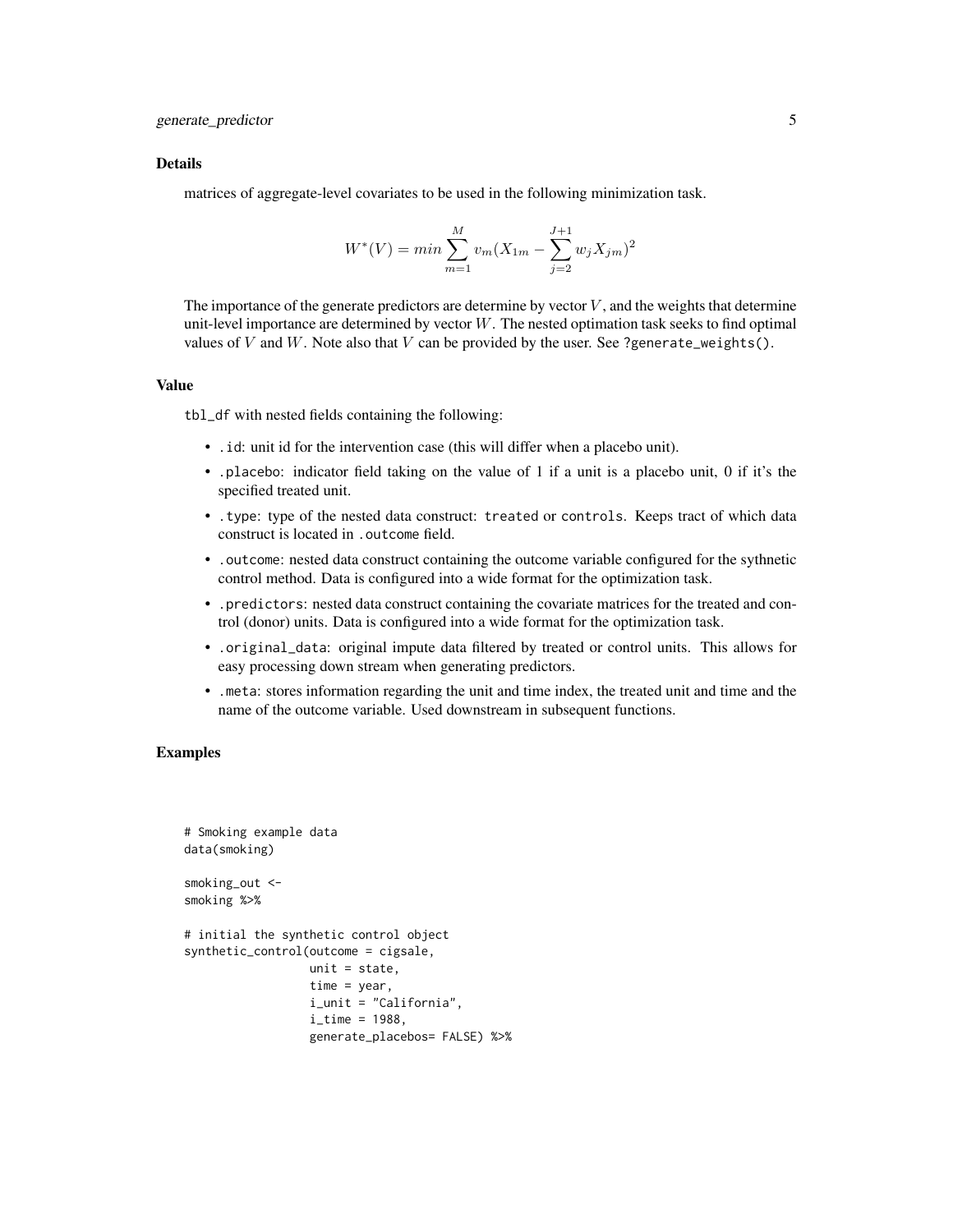#### Details

matrices of aggregate-level covariates to be used in the following minimization task.

$$
W^*(V) = \min \sum_{m=1}^{M} v_m (X_{1m} - \sum_{j=2}^{J+1} w_j X_{jm})^2
$$

The importance of the generate predictors are determine by vector  $V$ , and the weights that determine unit-level importance are determined by vector W. The nested optimation task seeks to find optimal values of V and W. Note also that V can be provided by the user. See ?generate\_weights().

#### Value

tbl\_df with nested fields containing the following:

- .id: unit id for the intervention case (this will differ when a placebo unit).
- .placebo: indicator field taking on the value of 1 if a unit is a placebo unit, 0 if it's the specified treated unit.
- .type: type of the nested data construct: treated or controls. Keeps tract of which data construct is located in .outcome field.
- .outcome: nested data construct containing the outcome variable configured for the sythnetic control method. Data is configured into a wide format for the optimization task.
- .predictors: nested data construct containing the covariate matrices for the treated and control (donor) units. Data is configured into a wide format for the optimization task.
- .original\_data: original impute data filtered by treated or control units. This allows for easy processing down stream when generating predictors.
- .meta: stores information regarding the unit and time index, the treated unit and time and the name of the outcome variable. Used downstream in subsequent functions.

```
# Smoking example data
data(smoking)
smoking_out <-
smoking %>%
# initial the synthetic control object
synthetic_control(outcome = cigsale,
                  unit = state,time = year,
                  i_unit = "California",
                  i_time = 1988,
                  generate_placebos= FALSE) %>%
```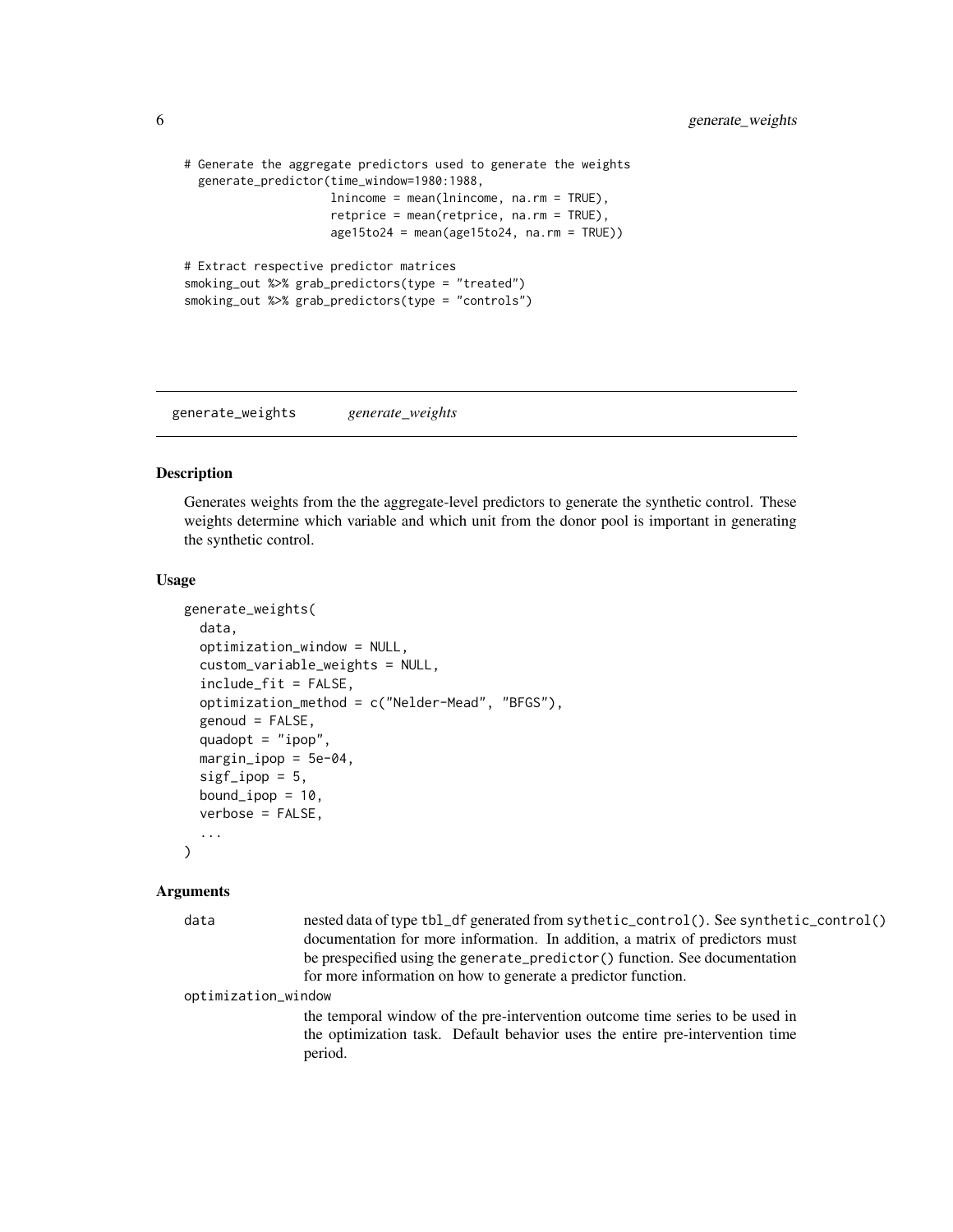```
# Generate the aggregate predictors used to generate the weights
 generate_predictor(time_window=1980:1988,
                    lnincome = mean(lnincome, na.rm = TRUE),
                     retprice = mean(retprice, na.rm = TRUE),
                     age15to24 = mean(age15to24, na.rm = TRUE))# Extract respective predictor matrices
smoking_out %>% grab_predictors(type = "treated")
smoking_out %>% grab_predictors(type = "controls")
```
generate\_weights *generate\_weights*

# Description

Generates weights from the the aggregate-level predictors to generate the synthetic control. These weights determine which variable and which unit from the donor pool is important in generating the synthetic control.

# Usage

```
generate_weights(
  data,
  optimization_window = NULL,
  custom_variable_weights = NULL,
  include_fit = FALSE,
  optimization_method = c("Nelder-Mead", "BFGS"),
  genoud = FALSE,quadopt = "ipop",margin\_ipop = 5e-04,
  sigf\_ipop = 5,
  bound_ipop = 10,
  verbose = FALSE,
  ...
)
```
# **Arguments**

| data                | nested data of type tbl_df generated from sythetic_control(). See synthetic_control() |
|---------------------|---------------------------------------------------------------------------------------|
|                     | documentation for more information. In addition, a matrix of predictors must          |
|                     | be prespecified using the generate_predictor() function. See documentation            |
|                     | for more information on how to generate a predictor function.                         |
| optimization_window |                                                                                       |
|                     | the temporal window of the pre-intervention outcome time series to be used in         |
|                     | the optimization task. Default behavior uses the entire pre-intervention time         |
|                     | period.                                                                               |
|                     |                                                                                       |

<span id="page-5-0"></span>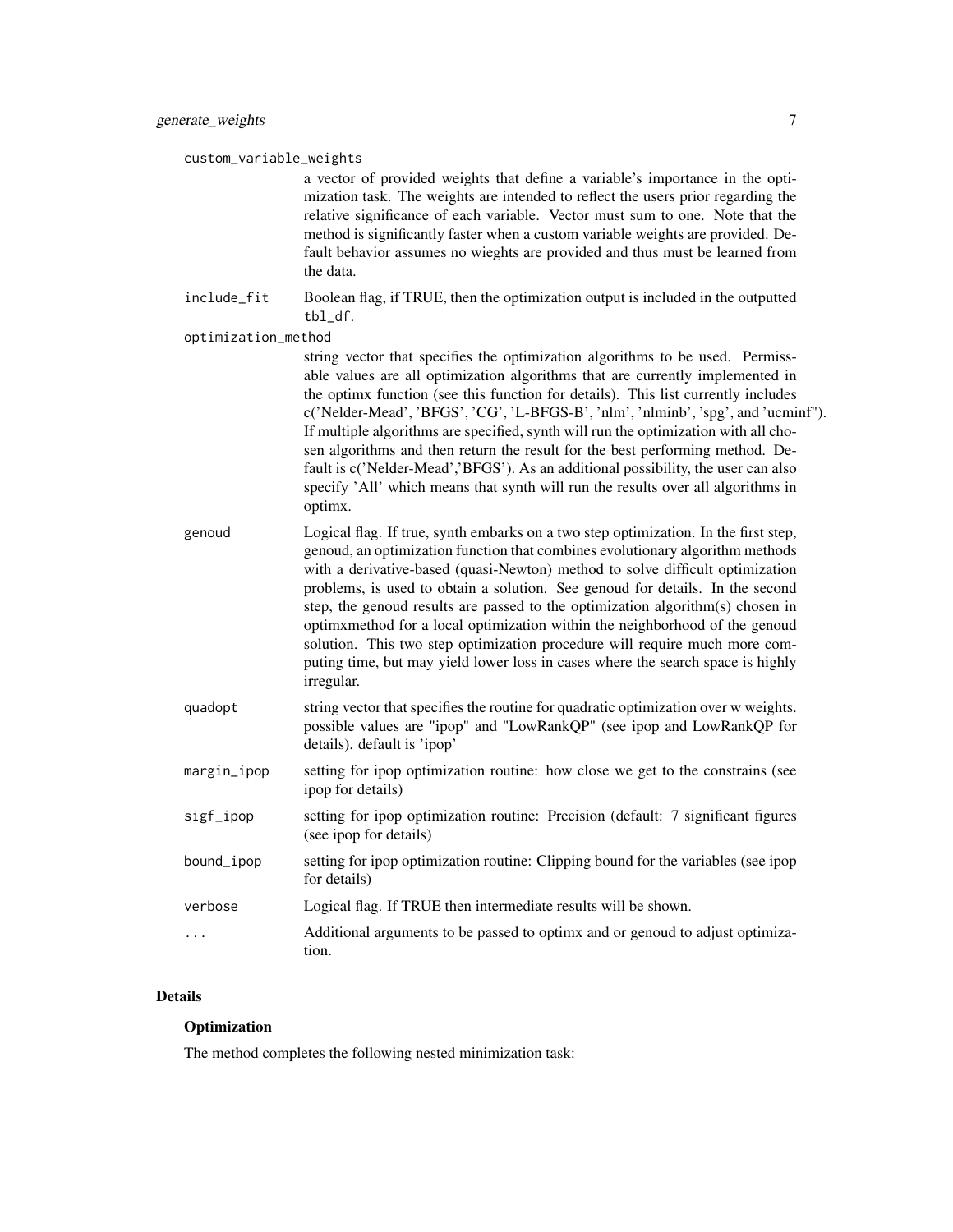custom\_variable\_weights

a vector of provided weights that define a variable's importance in the optimization task. The weights are intended to reflect the users prior regarding the relative significance of each variable. Vector must sum to one. Note that the method is significantly faster when a custom variable weights are provided. Default behavior assumes no wieghts are provided and thus must be learned from the data.

include\_fit Boolean flag, if TRUE, then the optimization output is included in the outputted tbl\_df.

#### optimization\_method

string vector that specifies the optimization algorithms to be used. Permissable values are all optimization algorithms that are currently implemented in the optimx function (see this function for details). This list currently includes c('Nelder-Mead', 'BFGS', 'CG', 'L-BFGS-B', 'nlm', 'nlminb', 'spg', and 'ucminf"). If multiple algorithms are specified, synth will run the optimization with all chosen algorithms and then return the result for the best performing method. Default is c('Nelder-Mead','BFGS'). As an additional possibility, the user can also specify 'All' which means that synth will run the results over all algorithms in optimx.

- genoud Logical flag. If true, synth embarks on a two step optimization. In the first step, genoud, an optimization function that combines evolutionary algorithm methods with a derivative-based (quasi-Newton) method to solve difficult optimization problems, is used to obtain a solution. See genoud for details. In the second step, the genoud results are passed to the optimization algorithm(s) chosen in optimxmethod for a local optimization within the neighborhood of the genoud solution. This two step optimization procedure will require much more computing time, but may yield lower loss in cases where the search space is highly irregular.
- quadopt string vector that specifies the routine for quadratic optimization over w weights. possible values are "ipop" and "LowRankQP" (see ipop and LowRankQP for details). default is 'ipop'
- margin\_ipop setting for ipop optimization routine: how close we get to the constrains (see ipop for details)
- sigf\_ipop setting for ipop optimization routine: Precision (default: 7 significant figures (see ipop for details)
- bound\_ipop setting for ipop optimization routine: Clipping bound for the variables (see ipop for details)
- verbose Logical flag. If TRUE then intermediate results will be shown.
- ... Additional arguments to be passed to optimx and or genoud to adjust optimization.

# Details

# Optimization

The method completes the following nested minimization task: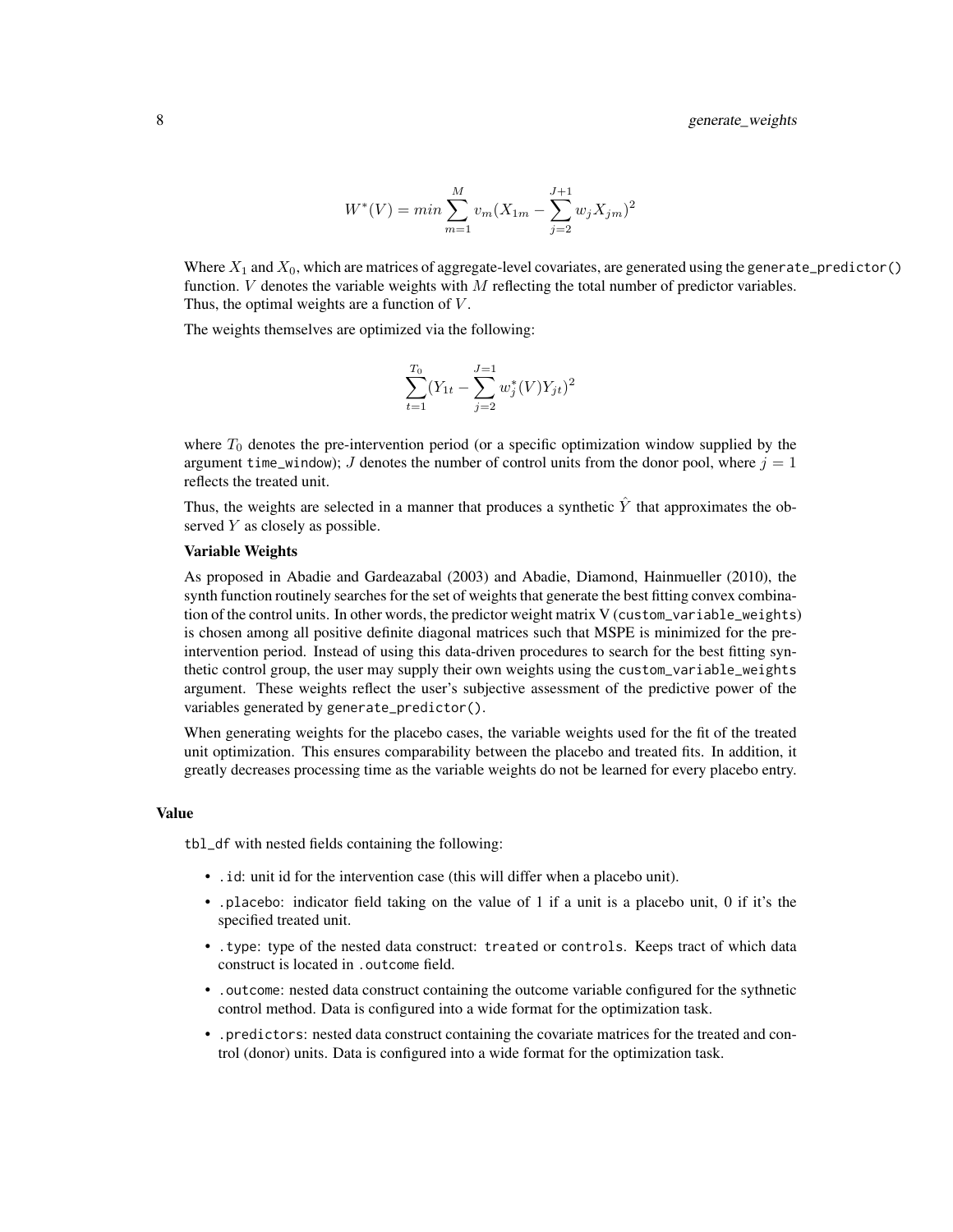$$
W^*(V) = \min \sum_{m=1}^{M} v_m (X_{1m} - \sum_{j=2}^{J+1} w_j X_{jm})^2
$$

Where  $X_1$  and  $X_0$ , which are matrices of aggregate-level covariates, are generated using the generate\_predictor() function.  $V$  denotes the variable weights with  $M$  reflecting the total number of predictor variables. Thus, the optimal weights are a function of  $V$ .

The weights themselves are optimized via the following:

$$
\sum_{t=1}^{T_0} (Y_{1t} - \sum_{j=2}^{J=1} w_j^*(V)Y_{jt})^2
$$

where  $T_0$  denotes the pre-intervention period (or a specific optimization window supplied by the argument time\_window); J denotes the number of control units from the donor pool, where  $j = 1$ reflects the treated unit.

Thus, the weights are selected in a manner that produces a synthetic  $\hat{Y}$  that approximates the observed  $Y$  as closely as possible.

#### Variable Weights

As proposed in Abadie and Gardeazabal (2003) and Abadie, Diamond, Hainmueller (2010), the synth function routinely searches for the set of weights that generate the best fitting convex combination of the control units. In other words, the predictor weight matrix V (custom\_variable\_weights) is chosen among all positive definite diagonal matrices such that MSPE is minimized for the preintervention period. Instead of using this data-driven procedures to search for the best fitting synthetic control group, the user may supply their own weights using the custom\_variable\_weights argument. These weights reflect the user's subjective assessment of the predictive power of the variables generated by generate\_predictor().

When generating weights for the placebo cases, the variable weights used for the fit of the treated unit optimization. This ensures comparability between the placebo and treated fits. In addition, it greatly decreases processing time as the variable weights do not be learned for every placebo entry.

#### Value

tbl\_df with nested fields containing the following:

- .id: unit id for the intervention case (this will differ when a placebo unit).
- .placebo: indicator field taking on the value of 1 if a unit is a placebo unit, 0 if it's the specified treated unit.
- .type: type of the nested data construct: treated or controls. Keeps tract of which data construct is located in .outcome field.
- .outcome: nested data construct containing the outcome variable configured for the sythnetic control method. Data is configured into a wide format for the optimization task.
- .predictors: nested data construct containing the covariate matrices for the treated and control (donor) units. Data is configured into a wide format for the optimization task.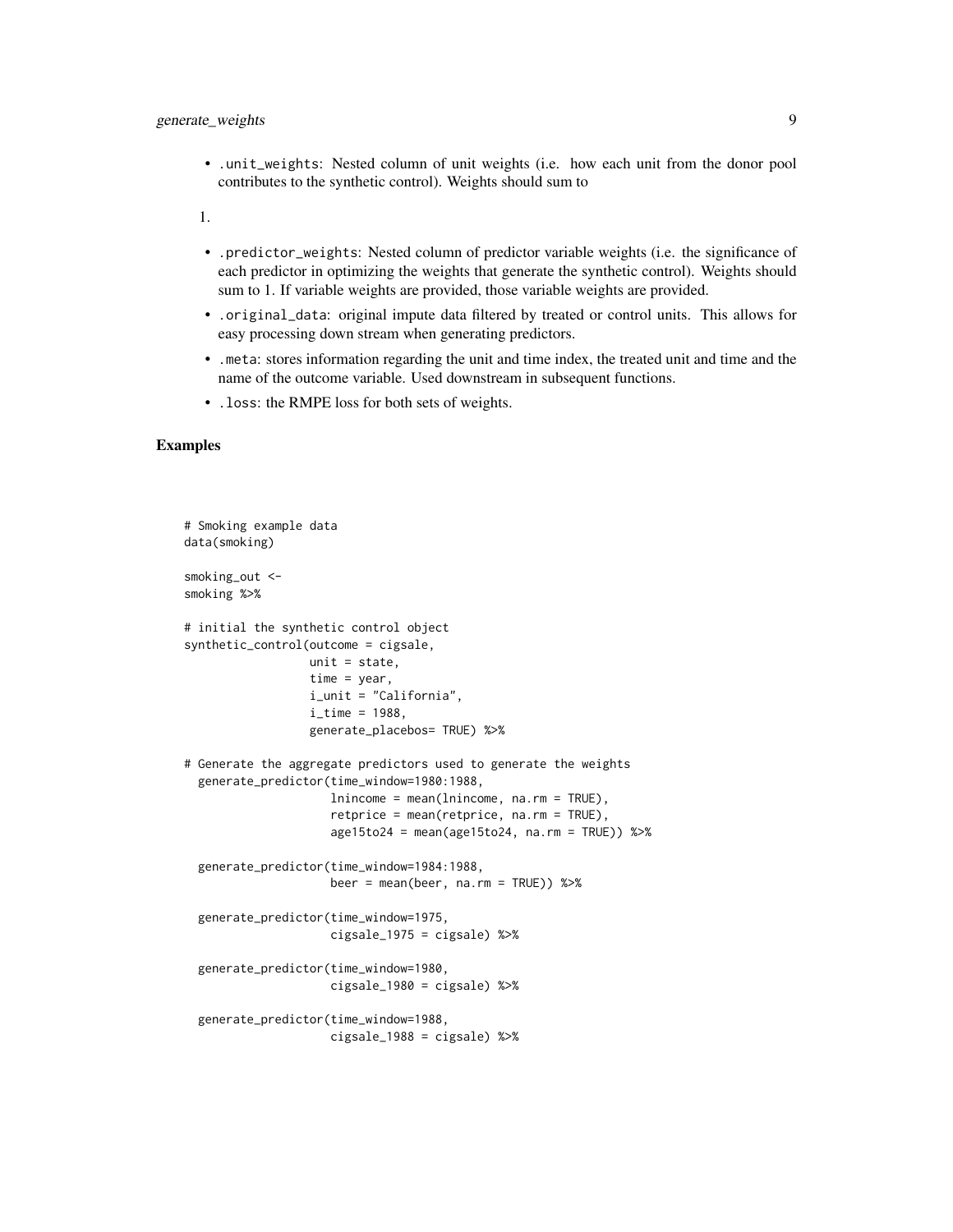• .unit\_weights: Nested column of unit weights (i.e. how each unit from the donor pool contributes to the synthetic control). Weights should sum to

1.

- .predictor\_weights: Nested column of predictor variable weights (i.e. the significance of each predictor in optimizing the weights that generate the synthetic control). Weights should sum to 1. If variable weights are provided, those variable weights are provided.
- .original\_data: original impute data filtered by treated or control units. This allows for easy processing down stream when generating predictors.
- .meta: stores information regarding the unit and time index, the treated unit and time and the name of the outcome variable. Used downstream in subsequent functions.
- .loss: the RMPE loss for both sets of weights.

```
# Smoking example data
data(smoking)
smoking_out <-
smoking %>%
# initial the synthetic control object
synthetic_control(outcome = cigsale,
                  unit = state.time = year,
                  i_unit = "California",
                  i<sub>_</sub>time = 1988,
                  generate_placebos= TRUE) %>%
# Generate the aggregate predictors used to generate the weights
 generate_predictor(time_window=1980:1988,
                     lnincome = mean(lnincome, na.rm = TRUE),
                     retprice = mean(retprice, na.rm = TRUE),
                     age15to24 = mean(age15to24, na.rm = TRUE)) %>%
 generate_predictor(time_window=1984:1988,
                     beer = mean(beer, na.rm = TRUE) %>%
 generate_predictor(time_window=1975,
                     cigsale_1975 = cigsale) %>%
 generate_predictor(time_window=1980,
                     cigsale_1980 = cigsale) %>%
 generate_predictor(time_window=1988,
                     cigsale_1988 = cigsale) %>%
```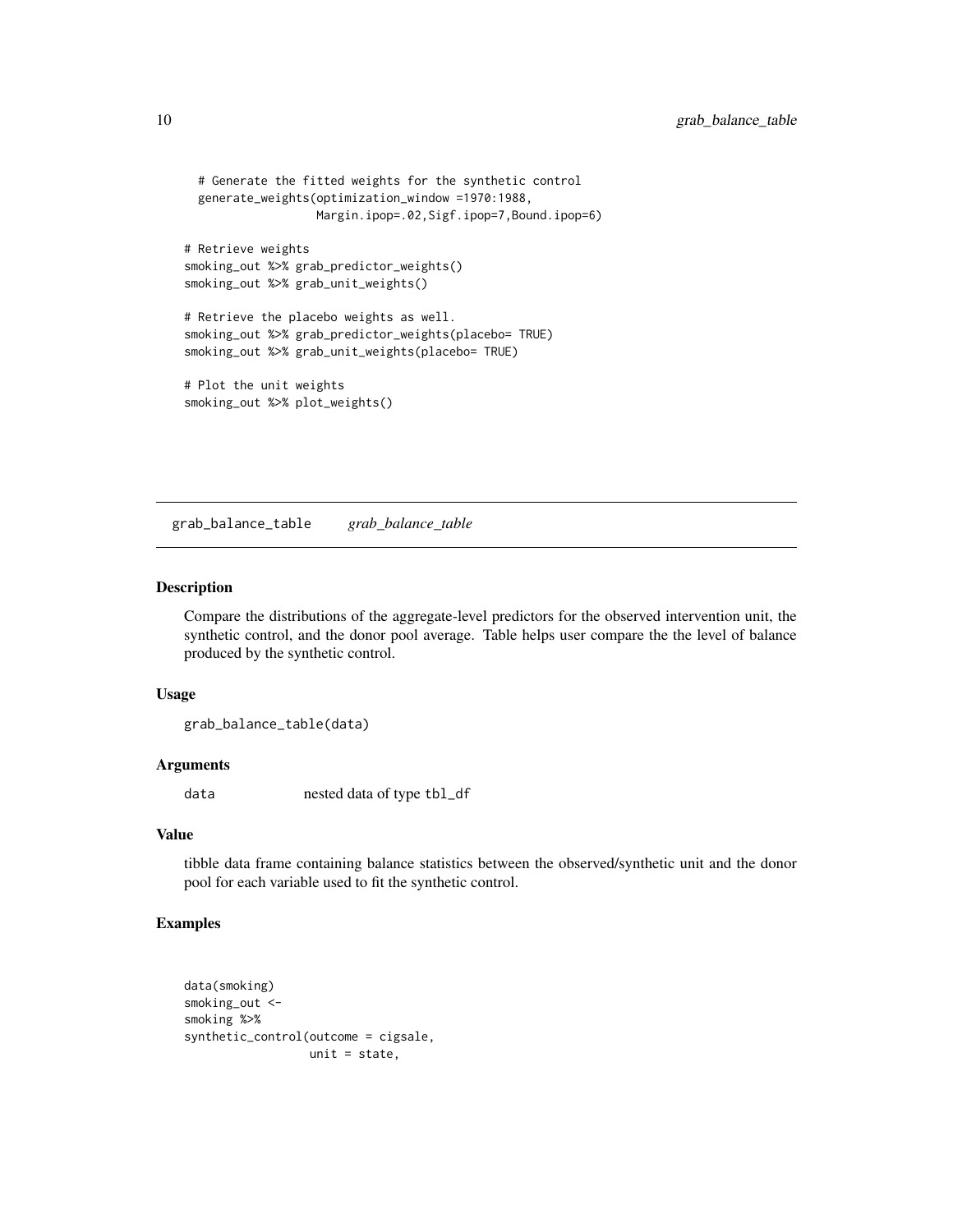```
# Generate the fitted weights for the synthetic control
 generate_weights(optimization_window =1970:1988,
                  Margin.ipop=.02,Sigf.ipop=7,Bound.ipop=6)
# Retrieve weights
smoking_out %>% grab_predictor_weights()
smoking_out %>% grab_unit_weights()
# Retrieve the placebo weights as well.
smoking_out %>% grab_predictor_weights(placebo= TRUE)
smoking_out %>% grab_unit_weights(placebo= TRUE)
# Plot the unit weights
smoking_out %>% plot_weights()
```
grab\_balance\_table *grab\_balance\_table*

# Description

Compare the distributions of the aggregate-level predictors for the observed intervention unit, the synthetic control, and the donor pool average. Table helps user compare the the level of balance produced by the synthetic control.

# Usage

grab\_balance\_table(data)

#### Arguments

data nested data of type tbl\_df

# Value

tibble data frame containing balance statistics between the observed/synthetic unit and the donor pool for each variable used to fit the synthetic control.

```
data(smoking)
smoking_out <-
smoking %>%
synthetic_control(outcome = cigsale,
                  unit = state,
```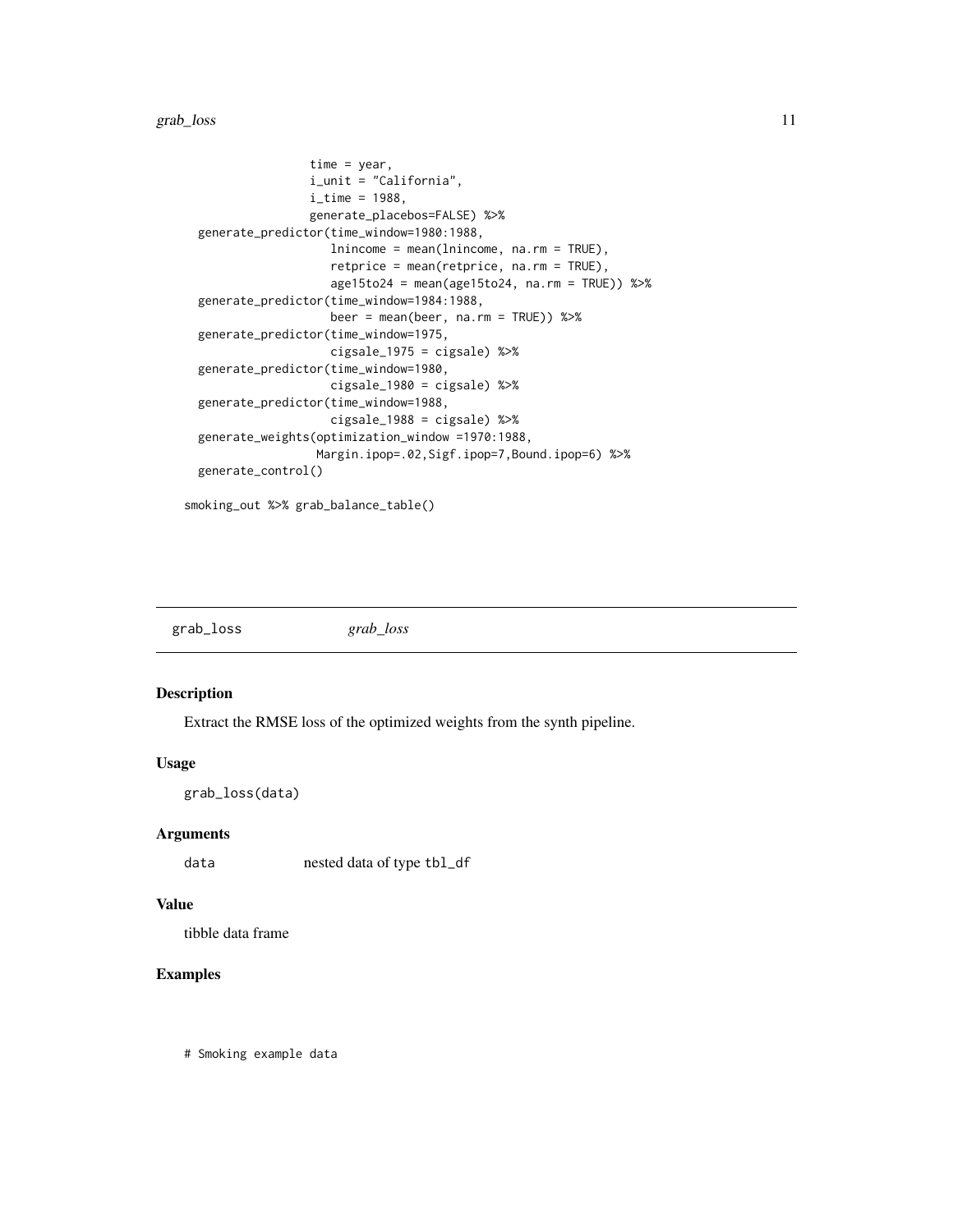<span id="page-10-0"></span>grab\_loss 11

```
time = year,
                i_unit = "California",
                i<sub>_</sub>time = 1988,
                generate_placebos=FALSE) %>%
generate_predictor(time_window=1980:1988,
                   lnincome = mean(lnincome, na.rm = TRUE),
                   retprice = mean(retprice, na.rm = TRUE),
                   age15to24 = mean(age15to24, na.rm = TRUE)) %>%
generate_predictor(time_window=1984:1988,
                   beer = mean(beer, na.rm = TRUE)) %>%
generate_predictor(time_window=1975,
                   cigsale_1975 = cigsale) %>%
generate_predictor(time_window=1980,
                   cigsale_1980 = cigsale) %>%
generate_predictor(time_window=1988,
                   cigsale_1988 = cigsale) %>%
generate_weights(optimization_window =1970:1988,
                 Margin.ipop=.02,Sigf.ipop=7,Bound.ipop=6) %>%
generate_control()
```
smoking\_out %>% grab\_balance\_table()

grab\_loss *grab\_loss*

# Description

Extract the RMSE loss of the optimized weights from the synth pipeline.

#### Usage

```
grab_loss(data)
```
#### Arguments

data nested data of type tbl\_df

# Value

tibble data frame

# Examples

# Smoking example data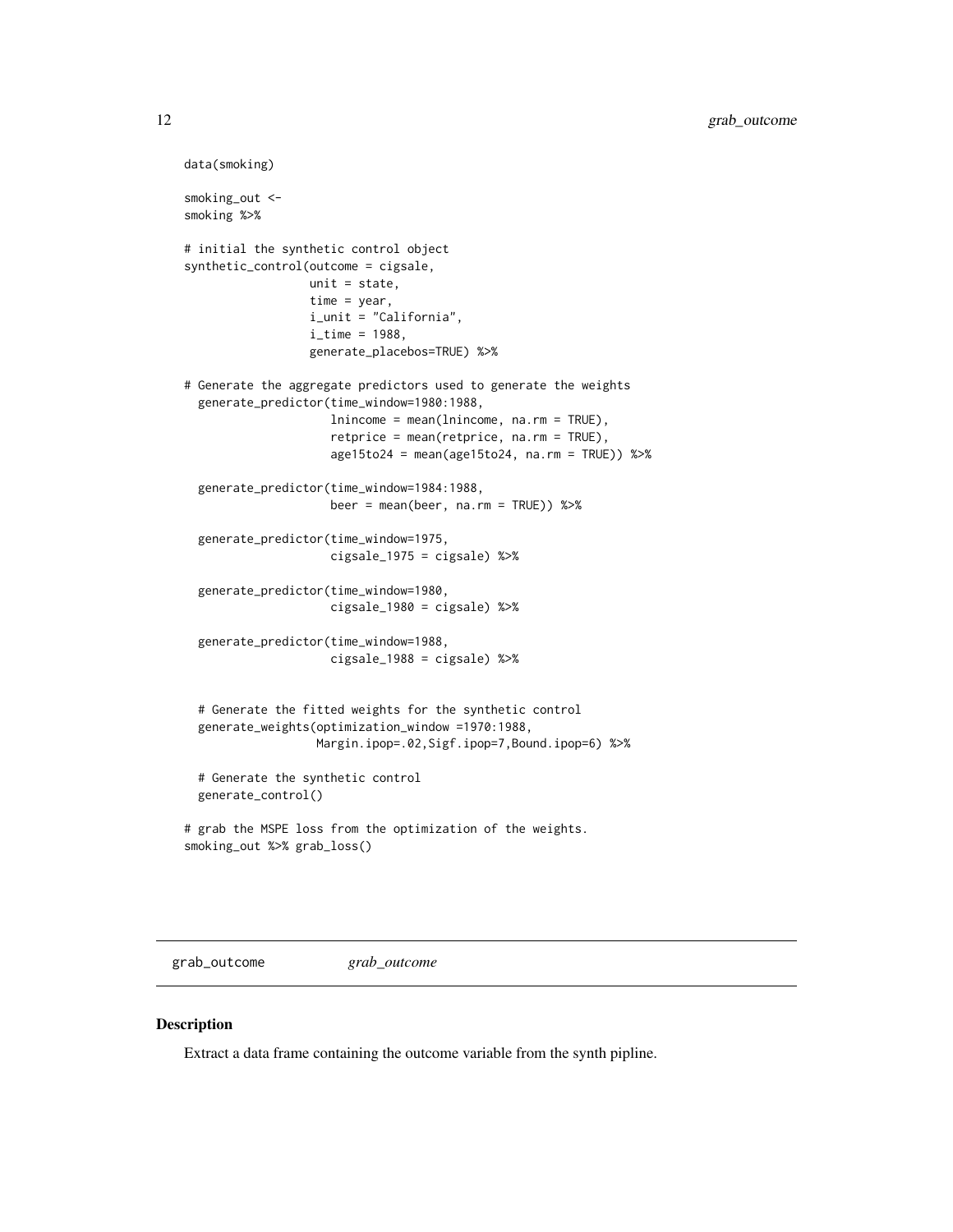```
data(smoking)
smoking_out <-
smoking %>%
# initial the synthetic control object
synthetic_control(outcome = cigsale,
                  unit = state,
                  time = year,
                  i_unit = "California",
                  i<sub>_</sub>time = 1988,
                  generate_placebos=TRUE) %>%
# Generate the aggregate predictors used to generate the weights
 generate_predictor(time_window=1980:1988,
                     lnincome = mean(lnincome, na.rm = TRUE),
                     retprice = mean(retprice, na.rm = TRUE),
                     age15to24 = mean(age15to24, na.rm = TRUE)) %>%
 generate_predictor(time_window=1984:1988,
                     beer = mean(beer, na.rm = TRUE)) %>%
 generate_predictor(time_window=1975,
                     cigsale_1975 = cigsale) %>%
 generate_predictor(time_window=1980,
                     cigsale_1980 = cigsale) %>%
 generate_predictor(time_window=1988,
                     cigsale_1988 = cigsale) %>%
 # Generate the fitted weights for the synthetic control
 generate_weights(optimization_window =1970:1988,
                   Margin.ipop=.02,Sigf.ipop=7,Bound.ipop=6) %>%
 # Generate the synthetic control
 generate_control()
# grab the MSPE loss from the optimization of the weights.
smoking_out %>% grab_loss()
```
grab\_outcome *grab\_outcome*

# Description

Extract a data frame containing the outcome variable from the synth pipline.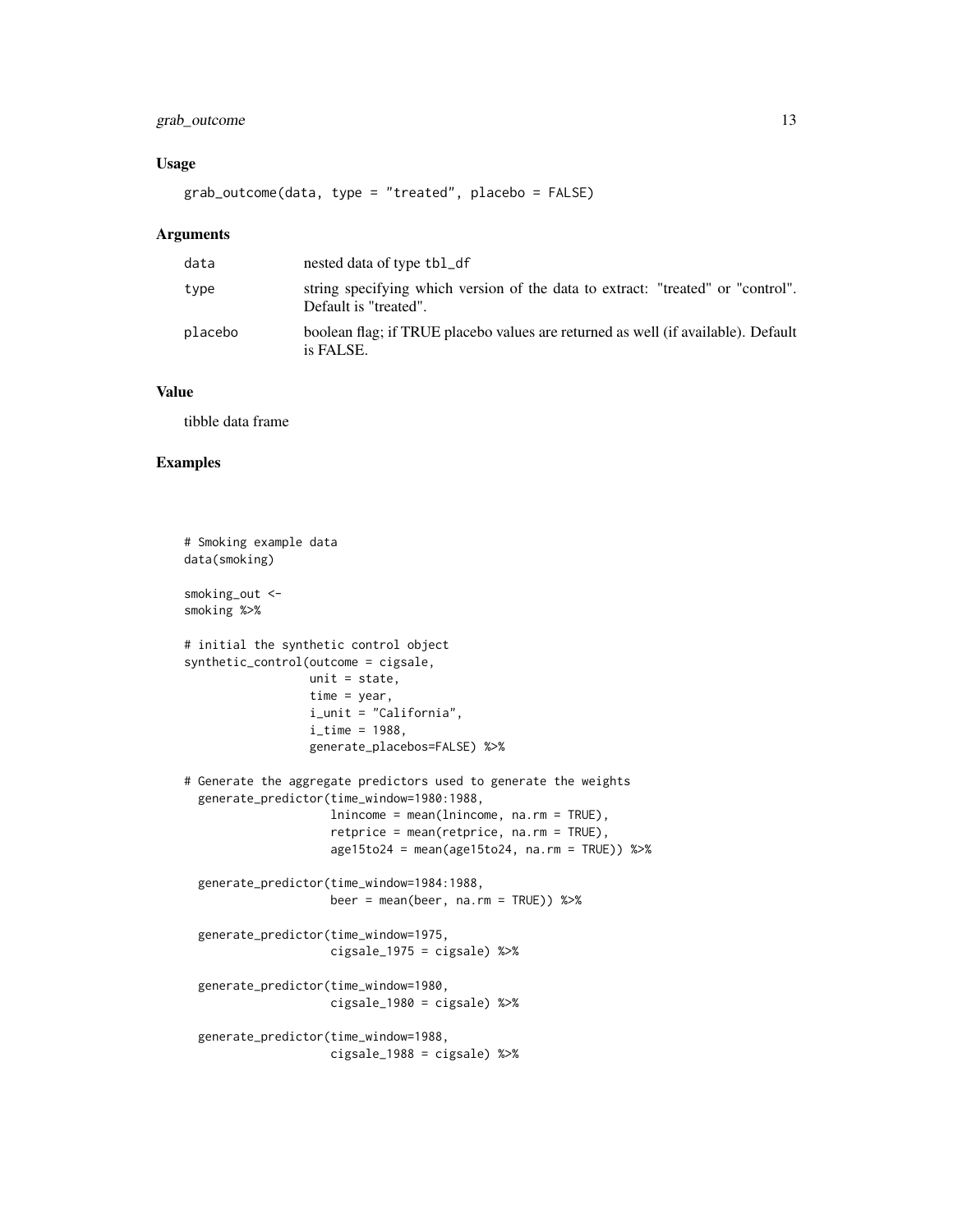# grab\_outcome 13

# Usage

grab\_outcome(data, type = "treated", placebo = FALSE)

#### Arguments

| data    | nested data of type tbl_df                                                                               |
|---------|----------------------------------------------------------------------------------------------------------|
| type    | string specifying which version of the data to extract: "treated" or "control".<br>Default is "treated". |
| placebo | boolean flag; if TRUE placebo values are returned as well (if available). Default<br>is FALSE.           |

# Value

tibble data frame

```
# Smoking example data
data(smoking)
smoking_out <-
smoking %>%
# initial the synthetic control object
synthetic_control(outcome = cigsale,
                  unit = state,
                  time = year,
                  i_unit = "California",
                  i<sub>_time</sub> = 1988,
                  generate_placebos=FALSE) %>%
# Generate the aggregate predictors used to generate the weights
 generate_predictor(time_window=1980:1988,
                     lnincome = mean(lnincome, na.rm = TRUE),
                     retprice = mean(retprice, na.rm = TRUE),
                     age15to24 = mean(age15to24, na.rm = TRUE)) %>%
 generate_predictor(time_window=1984:1988,
                     beer = mean(beer, na.rm = TRUE)) %>%
 generate_predictor(time_window=1975,
                     cigsale_1975 = cigsale) %>%
 generate_predictor(time_window=1980,
                     cigsale_1980 = cigsale) %>%
 generate_predictor(time_window=1988,
                     cigsale_1988 = cigsale) %>%
```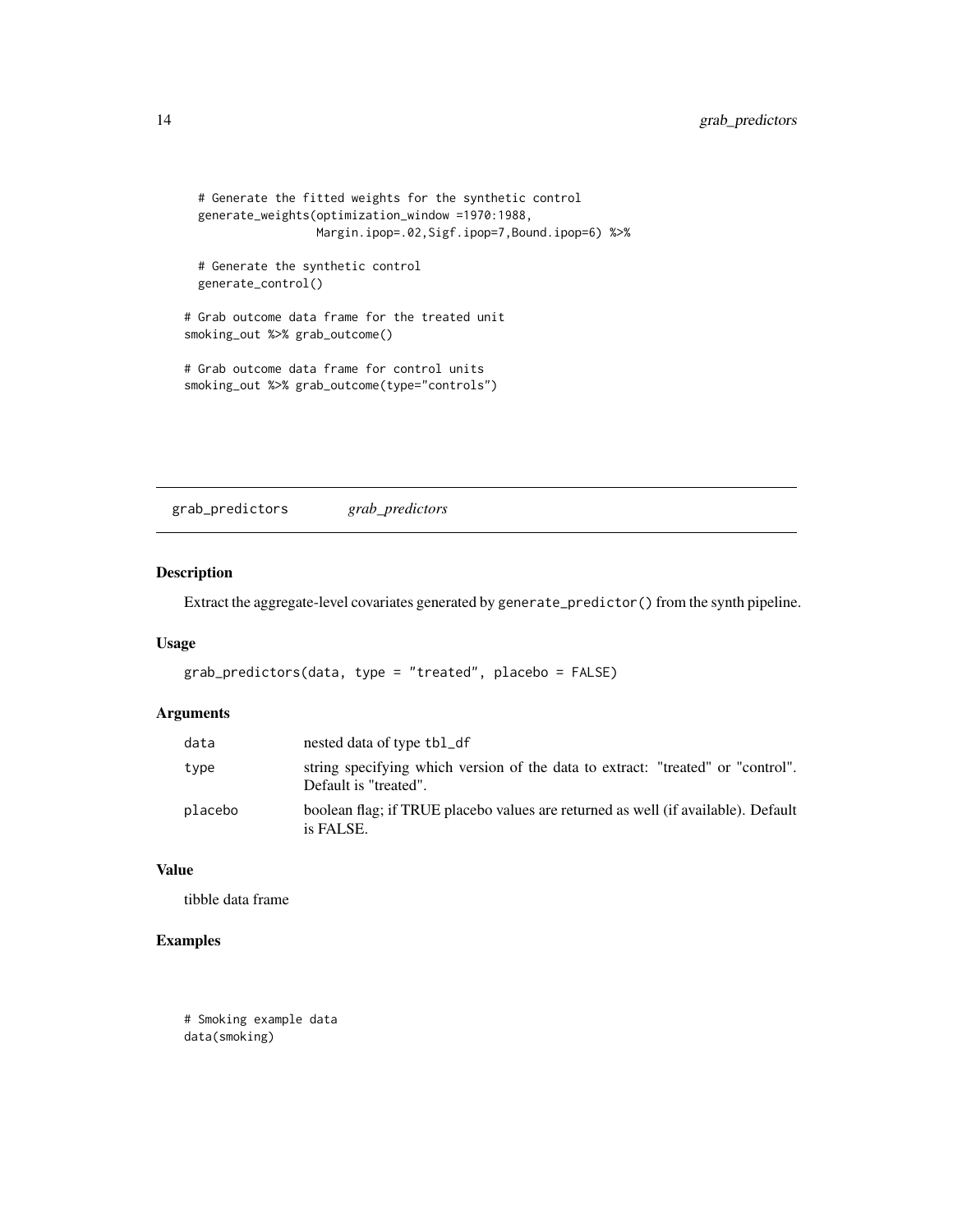```
# Generate the fitted weights for the synthetic control
 generate_weights(optimization_window =1970:1988,
                  Margin.ipop=.02,Sigf.ipop=7,Bound.ipop=6) %>%
 # Generate the synthetic control
 generate_control()
# Grab outcome data frame for the treated unit
smoking_out %>% grab_outcome()
# Grab outcome data frame for control units
smoking_out %>% grab_outcome(type="controls")
```
grab\_predictors *grab\_predictors*

# Description

Extract the aggregate-level covariates generated by generate\_predictor() from the synth pipeline.

# Usage

```
grab_predictors(data, type = "treated", placebo = FALSE)
```
# Arguments

| data    | nested data of type tbl_df                                                                               |
|---------|----------------------------------------------------------------------------------------------------------|
| type    | string specifying which version of the data to extract: "treated" or "control".<br>Default is "treated". |
| placebo | boolean flag; if TRUE placebo values are returned as well (if available). Default<br>is FALSE.           |

#### Value

tibble data frame

# Examples

# Smoking example data data(smoking)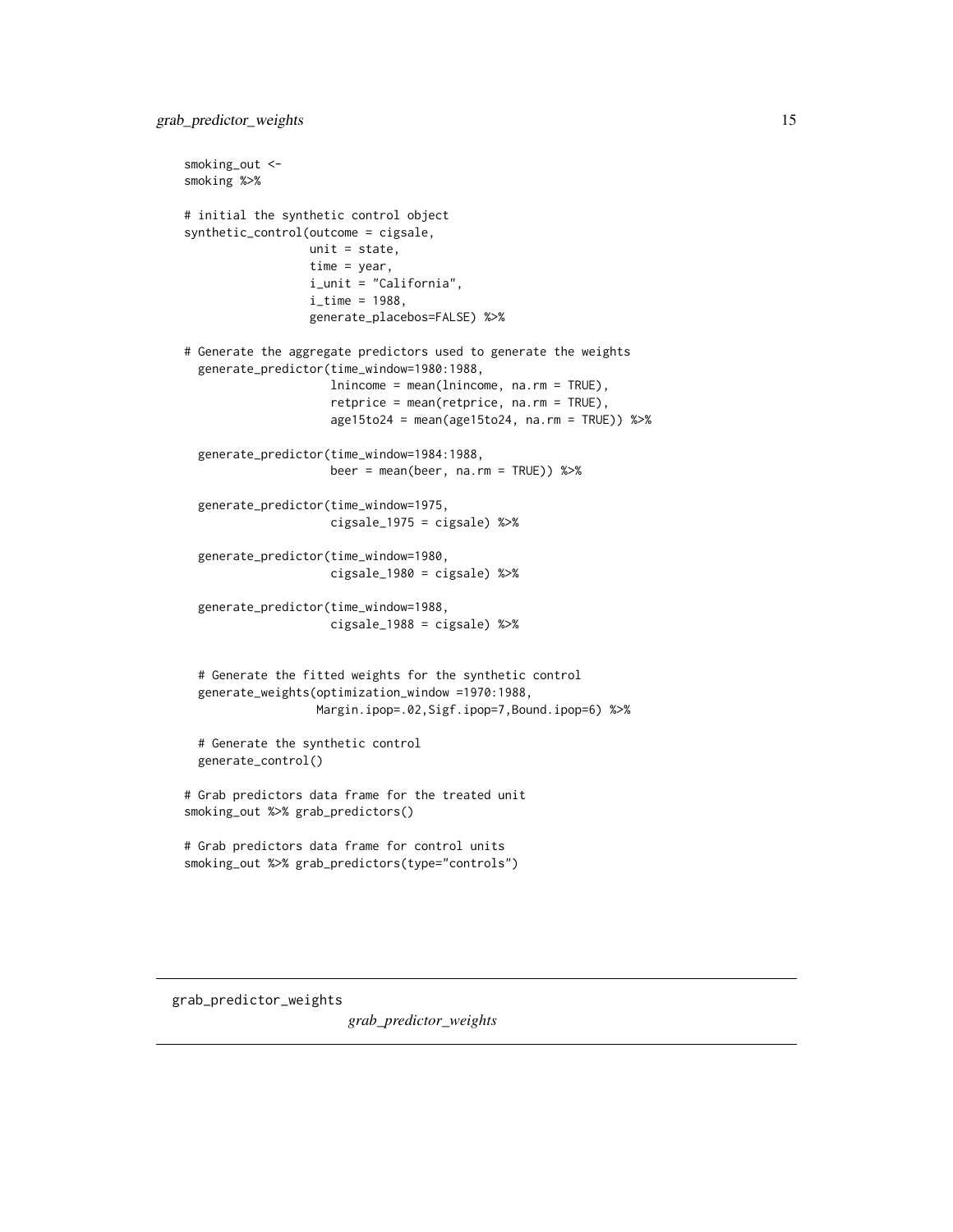```
smoking_out <-
smoking %>%
# initial the synthetic control object
synthetic_control(outcome = cigsale,
                  unit = state,
                  time = year,
                  i_unit = "California",
                  i<sub>_</sub>time = 1988,
                  generate_placebos=FALSE) %>%
# Generate the aggregate predictors used to generate the weights
 generate_predictor(time_window=1980:1988,
                     lnincome = mean(lnincome, na.rm = TRUE),
                     retprice = mean(retprice, na.rm = TRUE),
                     age15to24 = mean(age15to24, na.rm = TRUE)) %>%
 generate_predictor(time_window=1984:1988,
                     beer = mean(beer, na.rm = TRUE)) %>%
 generate_predictor(time_window=1975,
                     cigsale_1975 = cigsale) %>%
 generate_predictor(time_window=1980,
                     cigsale_1980 = cigsale) %>%
 generate_predictor(time_window=1988,
                     cigsale_1988 = cigsale) %>%
 # Generate the fitted weights for the synthetic control
 generate_weights(optimization_window =1970:1988,
                   Margin.ipop=.02,Sigf.ipop=7,Bound.ipop=6) %>%
 # Generate the synthetic control
 generate_control()
# Grab predictors data frame for the treated unit
smoking_out %>% grab_predictors()
# Grab predictors data frame for control units
smoking_out %>% grab_predictors(type="controls")
```
grab\_predictor\_weights

*grab\_predictor\_weights*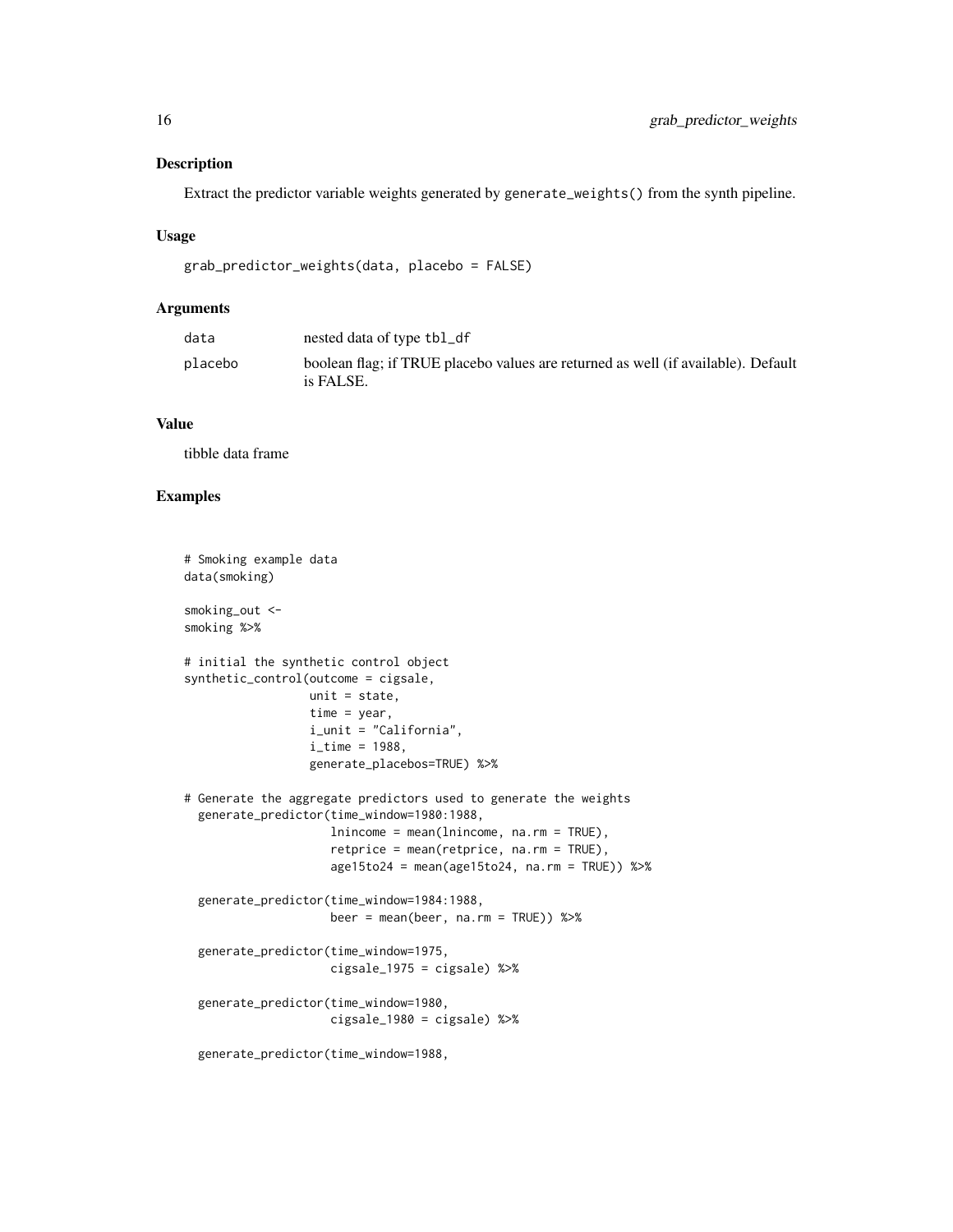# Description

Extract the predictor variable weights generated by generate\_weights() from the synth pipeline.

# Usage

```
grab_predictor_weights(data, placebo = FALSE)
```
# Arguments

| nested data of type tbl_df                                                                     |
|------------------------------------------------------------------------------------------------|
| boolean flag; if TRUE placebo values are returned as well (if available). Default<br>is FALSE. |
|                                                                                                |

# Value

tibble data frame

```
# Smoking example data
data(smoking)
smoking_out <-
smoking %>%
# initial the synthetic control object
synthetic_control(outcome = cigsale,
                  unit = state,
                  time = year,
                  i_unit = "California",
                  i<sub>_time</sub> = 1988,
                  generate_placebos=TRUE) %>%
# Generate the aggregate predictors used to generate the weights
  generate_predictor(time_window=1980:1988,
                     lnincome = mean(lnincome, na.rm = TRUE),
                     retprice = mean(retprice, na.rm = TRUE),
                     age15to24 = mean(age15to24, na.rm = TRUE)) %>%
  generate_predictor(time_window=1984:1988,
                     beer = mean(beer, na.rm = TRUE)) %>%
  generate_predictor(time_window=1975,
                     cigsale_1975 = cigsale) %>%
  generate_predictor(time_window=1980,
                     cigsale_1980 = cigsale) %>%
  generate_predictor(time_window=1988,
```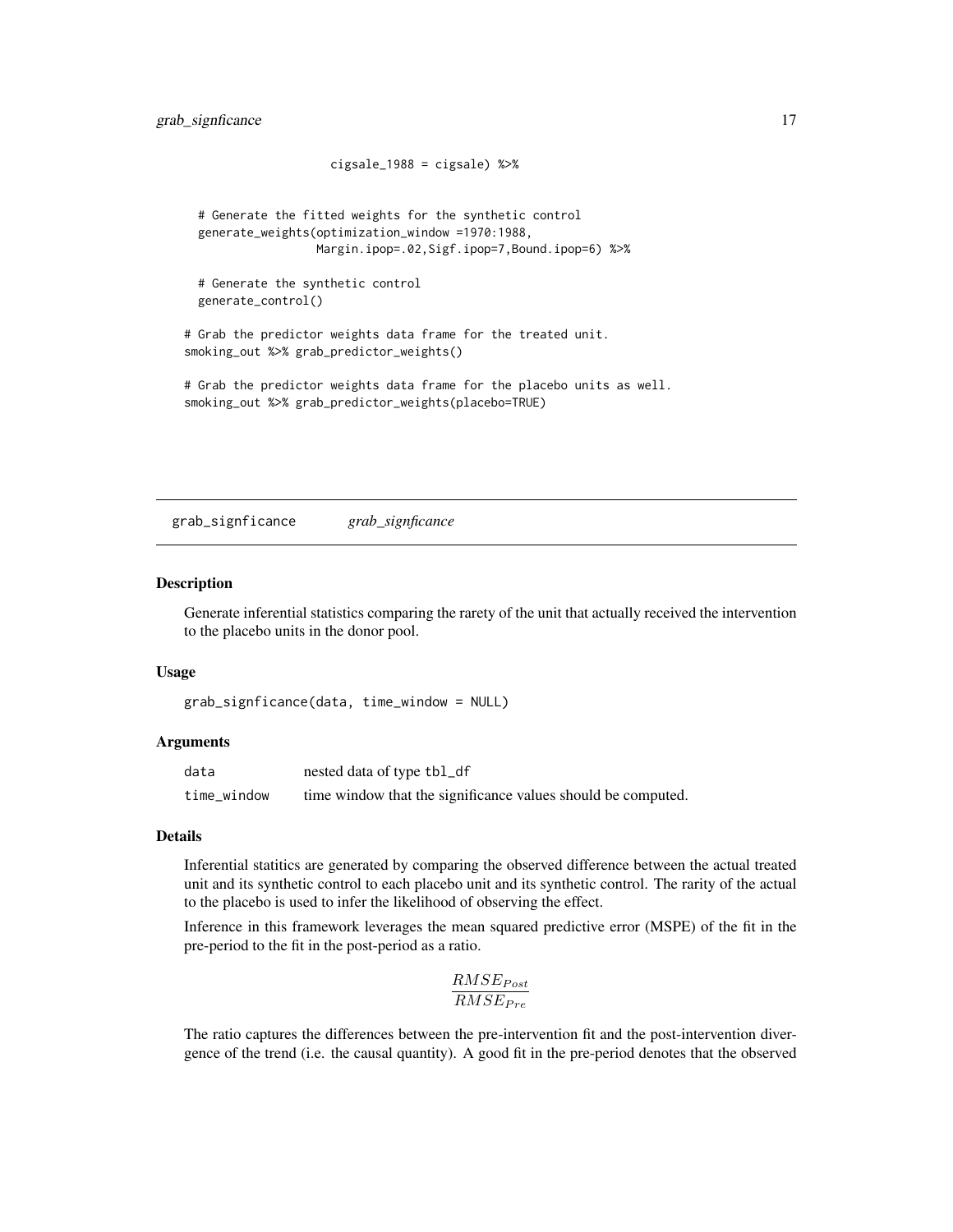```
cigsale_1988 = cigsale) %>%
 # Generate the fitted weights for the synthetic control
 generate_weights(optimization_window =1970:1988,
                  Margin.ipop=.02,Sigf.ipop=7,Bound.ipop=6) %>%
 # Generate the synthetic control
 generate_control()
# Grab the predictor weights data frame for the treated unit.
smoking_out %>% grab_predictor_weights()
# Grab the predictor weights data frame for the placebo units as well.
smoking_out %>% grab_predictor_weights(placebo=TRUE)
```
grab\_signficance *grab\_signficance*

#### Description

Generate inferential statistics comparing the rarety of the unit that actually received the intervention to the placebo units in the donor pool.

# Usage

```
grab_signficance(data, time_window = NULL)
```
# **Arguments**

| data        | nested data of type tbl_df                                   |
|-------------|--------------------------------------------------------------|
| time_window | time window that the significance values should be computed. |

#### Details

Inferential statitics are generated by comparing the observed difference between the actual treated unit and its synthetic control to each placebo unit and its synthetic control. The rarity of the actual to the placebo is used to infer the likelihood of observing the effect.

Inference in this framework leverages the mean squared predictive error (MSPE) of the fit in the pre-period to the fit in the post-period as a ratio.

$$
\frac{RMSE_{Post}}{RMSE_{Pre}}
$$

The ratio captures the differences between the pre-intervention fit and the post-intervention divergence of the trend (i.e. the causal quantity). A good fit in the pre-period denotes that the observed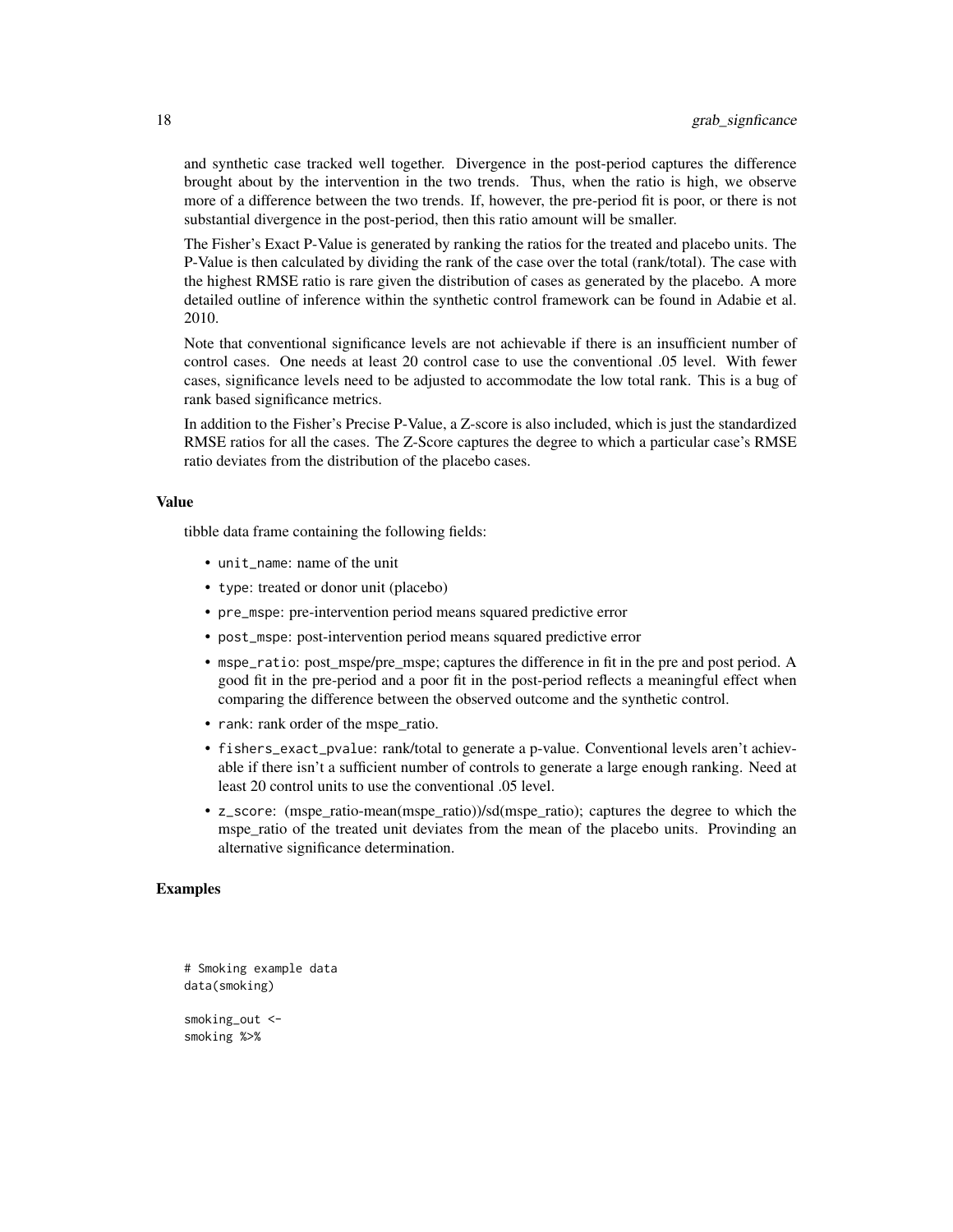and synthetic case tracked well together. Divergence in the post-period captures the difference brought about by the intervention in the two trends. Thus, when the ratio is high, we observe more of a difference between the two trends. If, however, the pre-period fit is poor, or there is not substantial divergence in the post-period, then this ratio amount will be smaller.

The Fisher's Exact P-Value is generated by ranking the ratios for the treated and placebo units. The P-Value is then calculated by dividing the rank of the case over the total (rank/total). The case with the highest RMSE ratio is rare given the distribution of cases as generated by the placebo. A more detailed outline of inference within the synthetic control framework can be found in Adabie et al. 2010.

Note that conventional significance levels are not achievable if there is an insufficient number of control cases. One needs at least 20 control case to use the conventional .05 level. With fewer cases, significance levels need to be adjusted to accommodate the low total rank. This is a bug of rank based significance metrics.

In addition to the Fisher's Precise P-Value, a Z-score is also included, which is just the standardized RMSE ratios for all the cases. The Z-Score captures the degree to which a particular case's RMSE ratio deviates from the distribution of the placebo cases.

#### Value

tibble data frame containing the following fields:

- unit\_name: name of the unit
- type: treated or donor unit (placebo)
- pre\_mspe: pre-intervention period means squared predictive error
- post\_mspe: post-intervention period means squared predictive error
- mspe\_ratio: post\_mspe/pre\_mspe; captures the difference in fit in the pre and post period. A good fit in the pre-period and a poor fit in the post-period reflects a meaningful effect when comparing the difference between the observed outcome and the synthetic control.
- rank: rank order of the mspe\_ratio.
- fishers\_exact\_pvalue: rank/total to generate a p-value. Conventional levels aren't achievable if there isn't a sufficient number of controls to generate a large enough ranking. Need at least 20 control units to use the conventional .05 level.
- z\_score: (mspe\_ratio-mean(mspe\_ratio))/sd(mspe\_ratio); captures the degree to which the mspe\_ratio of the treated unit deviates from the mean of the placebo units. Provinding an alternative significance determination.

```
# Smoking example data
data(smoking)
smoking_out <-
smoking %>%
```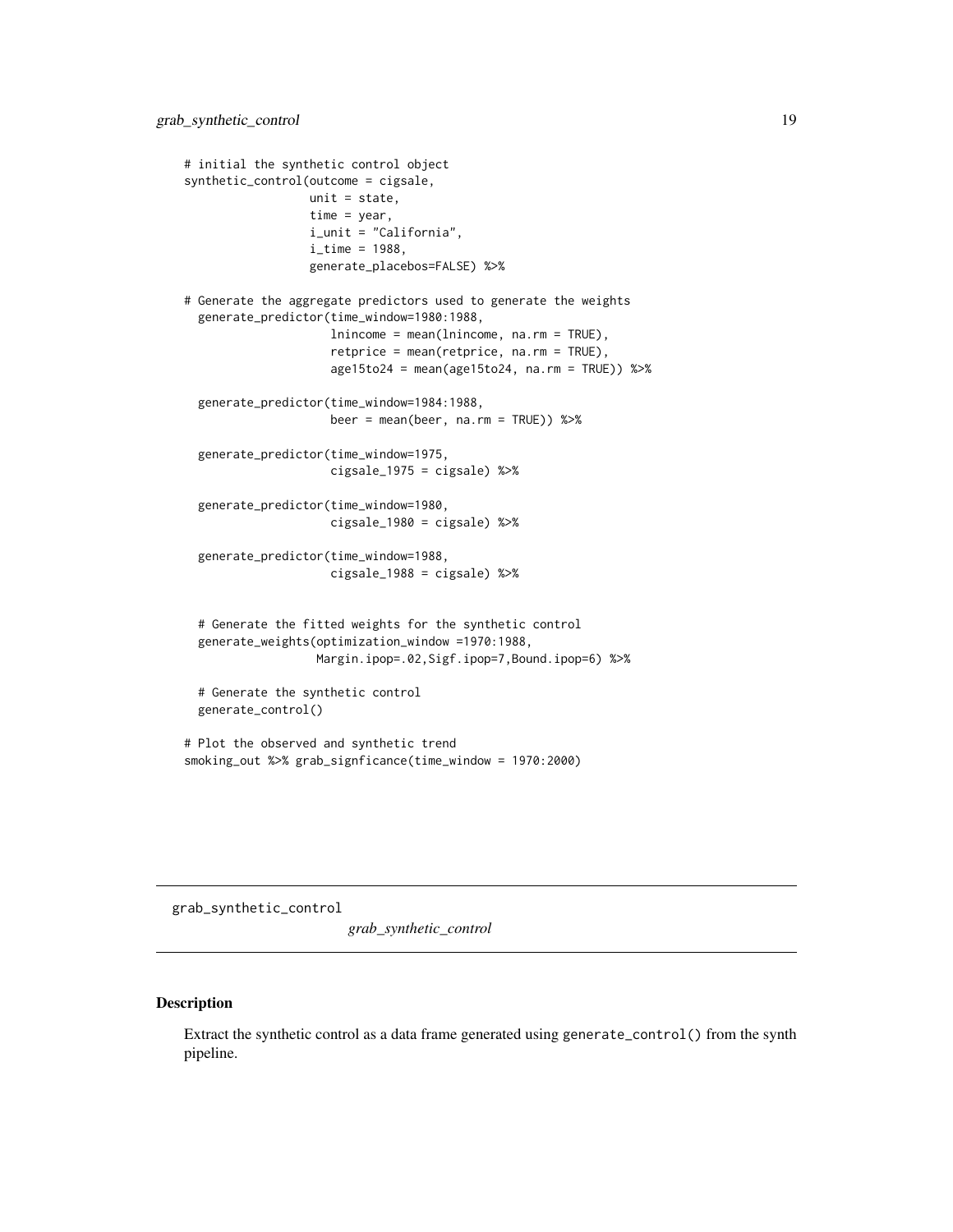```
# initial the synthetic control object
synthetic_control(outcome = cigsale,
                  unit = state,
                  time = year,
                  i_unit = "California",
                  i<sub>_</sub>time = 1988,
                  generate_placebos=FALSE) %>%
# Generate the aggregate predictors used to generate the weights
 generate_predictor(time_window=1980:1988,
                     lnincome = mean(lnincome, na.rm = TRUE),
                     retprice = mean(retprice, na.rm = TRUE),
                     age15to24 = mean(age15to24, na.rm = TRUE)) %>%
 generate_predictor(time_window=1984:1988,
                     beer = mean(beer, na.rm = TRUE)) %>%
 generate_predictor(time_window=1975,
                     cigsale_1975 = cigsale) %>%
 generate_predictor(time_window=1980,
                     cigsale_1980 = cigsale) %>%
 generate_predictor(time_window=1988,
                     cigsale_1988 = cigsale) %>%
 # Generate the fitted weights for the synthetic control
 generate_weights(optimization_window =1970:1988,
                   Margin.ipop=.02,Sigf.ipop=7,Bound.ipop=6) %>%
 # Generate the synthetic control
 generate_control()
# Plot the observed and synthetic trend
smoking_out %>% grab_signficance(time_window = 1970:2000)
```
grab\_synthetic\_control

*grab\_synthetic\_control*

# Description

Extract the synthetic control as a data frame generated using generate\_control() from the synth pipeline.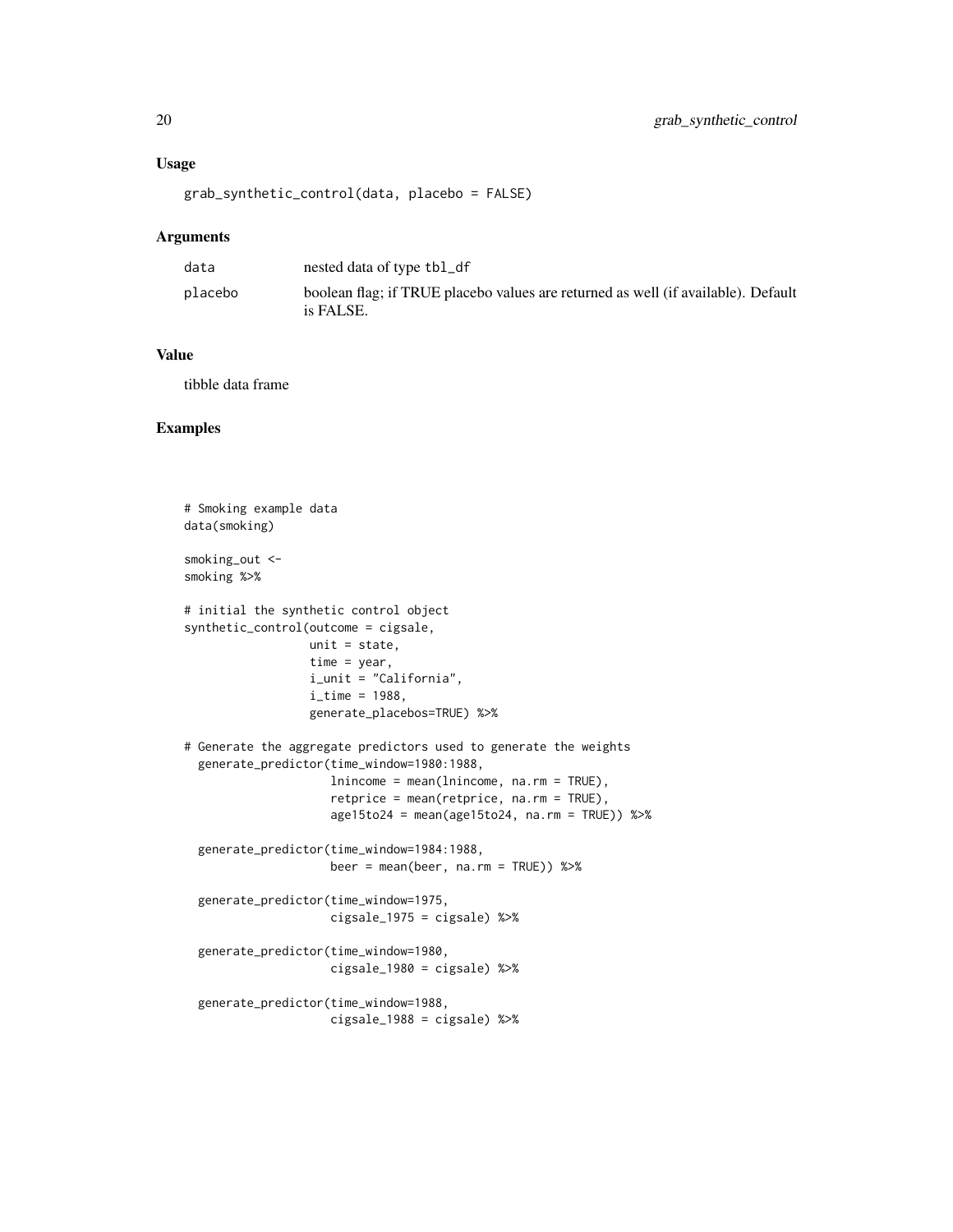# Usage

```
grab_synthetic_control(data, placebo = FALSE)
```
# Arguments

| data    | nested data of type tbl_df                                                                     |
|---------|------------------------------------------------------------------------------------------------|
| placebo | boolean flag; if TRUE placebo values are returned as well (if available). Default<br>is FALSE. |

# Value

tibble data frame

```
# Smoking example data
data(smoking)
smoking_out <-
smoking %>%
# initial the synthetic control object
synthetic_control(outcome = cigsale,
                 unit = state.
                 time = year,
                 i_unit = "California",
                 i_time = 1988,
                  generate_placebos=TRUE) %>%
# Generate the aggregate predictors used to generate the weights
 generate_predictor(time_window=1980:1988,
                    lnincome = mean(lnincome, na.rm = TRUE),
                    retprice = mean(retprice, na.rm = TRUE),
                    age15to24 = mean(age15to24, na.rm = TRUE)) %>%
 generate_predictor(time_window=1984:1988,
                    beer = mean(beer, na.rm = TRUE) %>%
 generate_predictor(time_window=1975,
                    cigsale_1975 = cigsale) %>%
 generate_predictor(time_window=1980,
                    cigsale_1980 = cigsale) %>%
 generate_predictor(time_window=1988,
                    cigsale_1988 = cigsale) %>%
```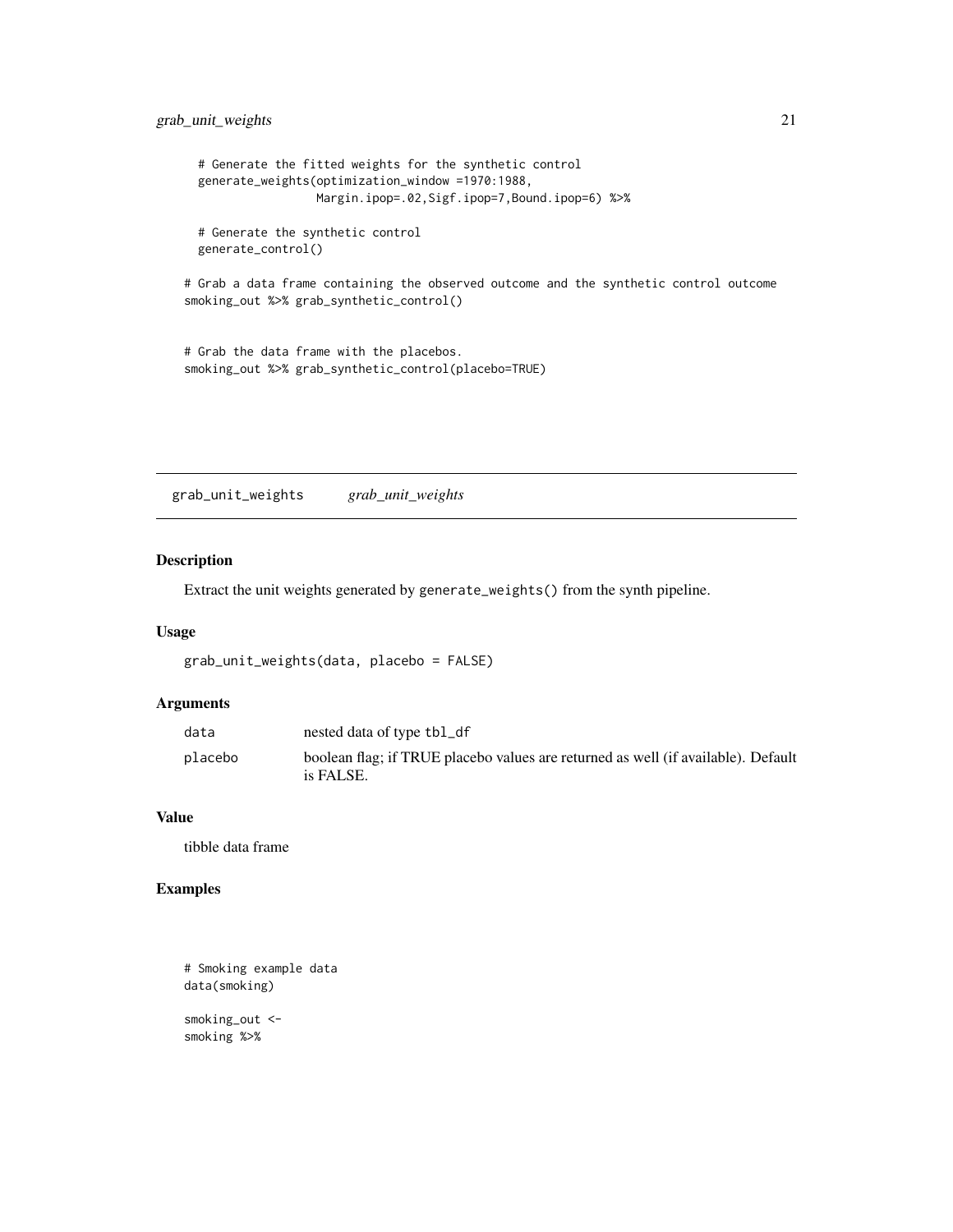```
# Generate the fitted weights for the synthetic control
generate_weights(optimization_window =1970:1988,
                Margin.ipop=.02,Sigf.ipop=7,Bound.ipop=6) %>%
```
# Generate the synthetic control generate\_control()

# Grab a data frame containing the observed outcome and the synthetic control outcome smoking\_out %>% grab\_synthetic\_control()

```
# Grab the data frame with the placebos.
smoking_out %>% grab_synthetic_control(placebo=TRUE)
```
grab\_unit\_weights *grab\_unit\_weights*

#### Description

Extract the unit weights generated by generate\_weights() from the synth pipeline.

# Usage

```
grab_unit_weights(data, placebo = FALSE)
```
# Arguments

| data    | nested data of type tbl_df                                                                     |
|---------|------------------------------------------------------------------------------------------------|
| placebo | boolean flag; if TRUE placebo values are returned as well (if available). Default<br>is FALSE. |

#### Value

tibble data frame

# Examples

```
# Smoking example data
data(smoking)
```
smoking\_out < smoking %>%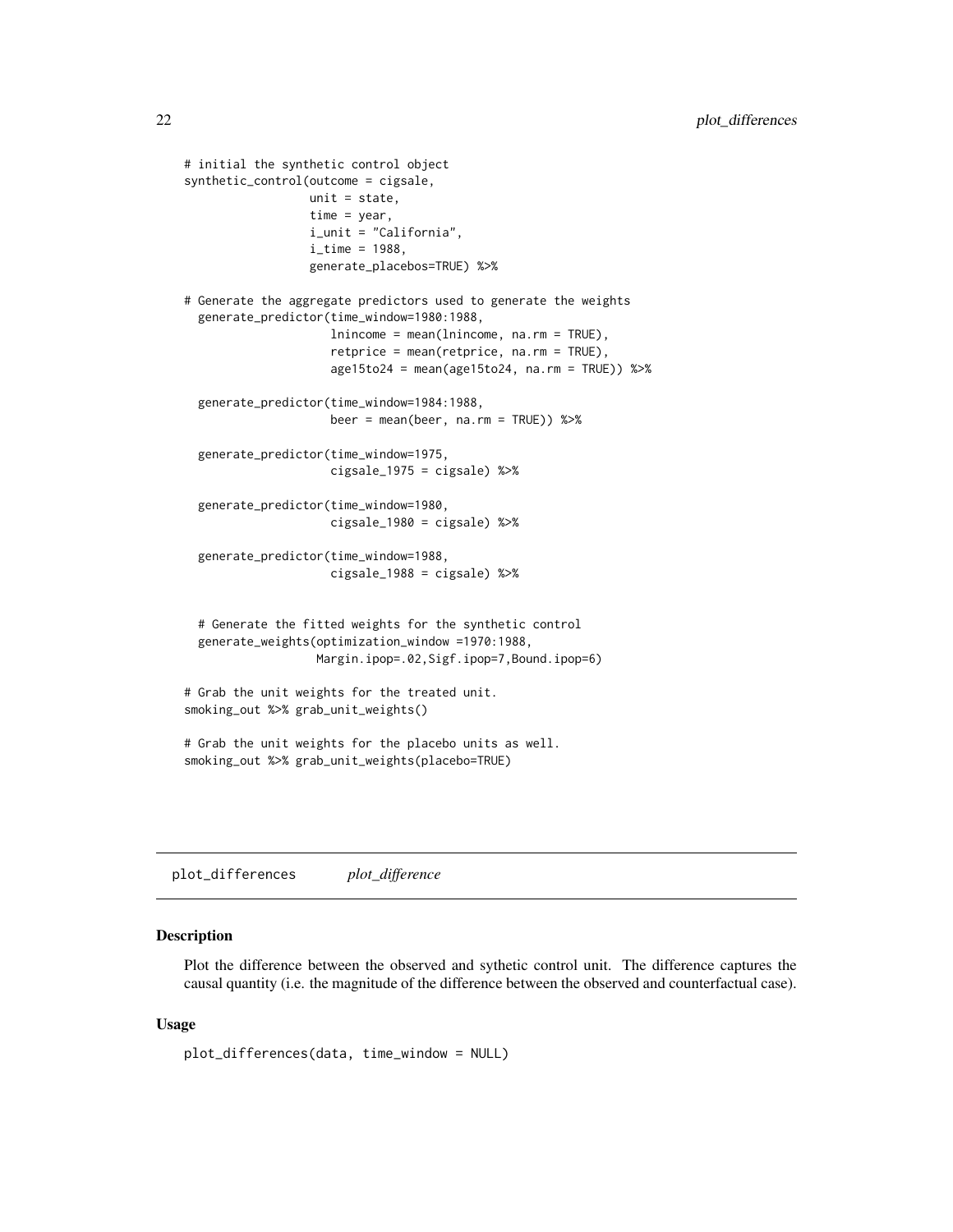```
# initial the synthetic control object
synthetic_control(outcome = cigsale,
                  unit = state,
                  time = year,
                  i_unit = "California",
                  i<sub>_time</sub> = 1988,
                  generate_placebos=TRUE) %>%
# Generate the aggregate predictors used to generate the weights
 generate_predictor(time_window=1980:1988,
                     lnincome = mean(lnincome, na.rm = TRUE),
                     retprice = mean(retprice, na.rm = TRUE),
                     age15to24 = mean(age15to24, na.rm = TRUE)) %>%
 generate_predictor(time_window=1984:1988,
                     beer = mean(beer, na.rm = TRUE)) %>%
 generate_predictor(time_window=1975,
                     cigsale_1975 = cigsale) %>%
 generate_predictor(time_window=1980,
                     cigsale_1980 = cigsale) %>%
 generate_predictor(time_window=1988,
                     cigsale_1988 = cigsale) %>%
 # Generate the fitted weights for the synthetic control
 generate_weights(optimization_window =1970:1988,
                   Margin.ipop=.02,Sigf.ipop=7,Bound.ipop=6)
# Grab the unit weights for the treated unit.
smoking_out %>% grab_unit_weights()
# Grab the unit weights for the placebo units as well.
smoking_out %>% grab_unit_weights(placebo=TRUE)
```
plot\_differences *plot\_difference*

#### Description

Plot the difference between the observed and sythetic control unit. The difference captures the causal quantity (i.e. the magnitude of the difference between the observed and counterfactual case).

#### Usage

```
plot_differences(data, time_window = NULL)
```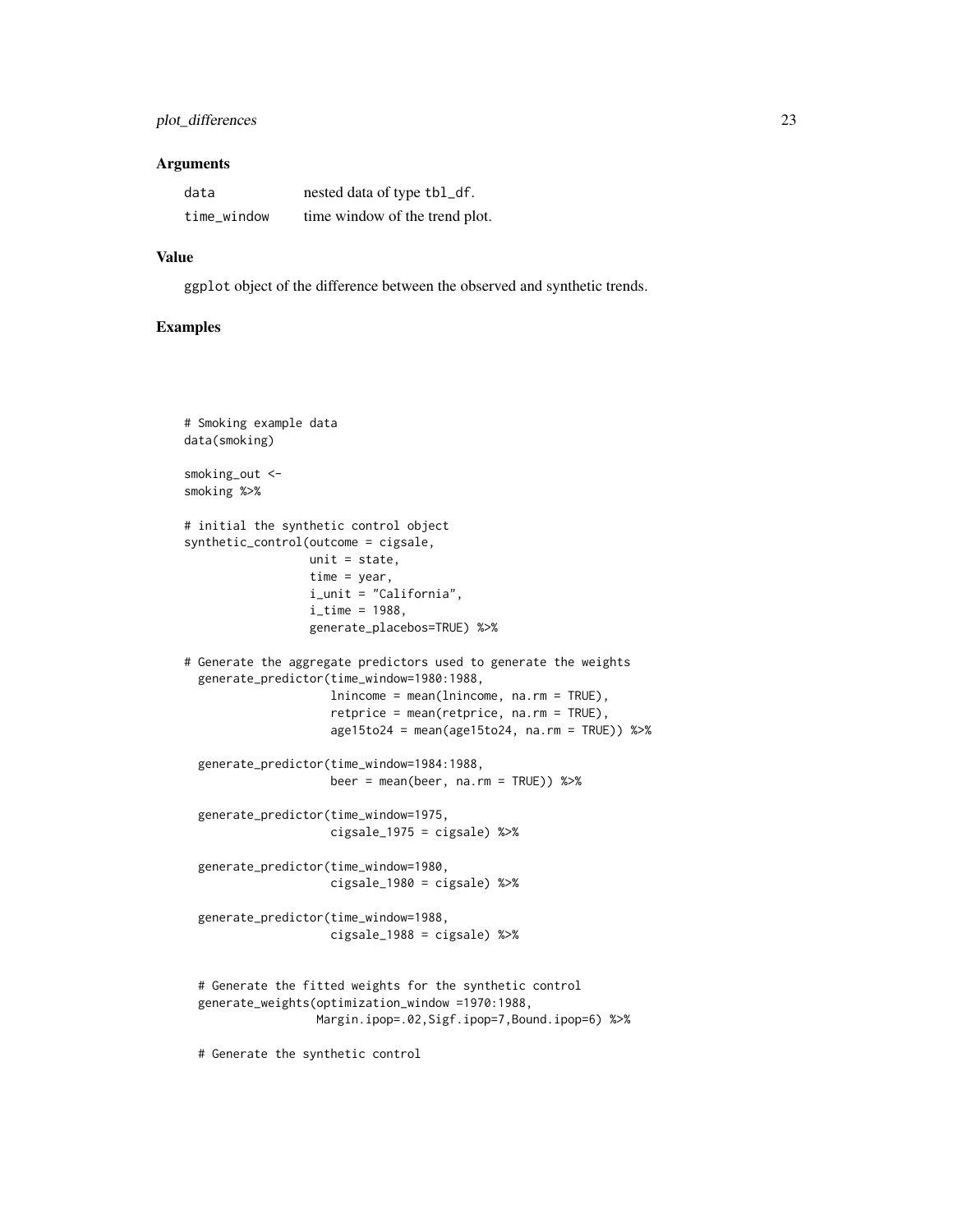# plot\_differences 23

#### Arguments

| data        | nested data of type tbl_df.    |
|-------------|--------------------------------|
| time_window | time window of the trend plot. |

# Value

ggplot object of the difference between the observed and synthetic trends.

# Examples

```
# Smoking example data
data(smoking)
smoking_out <-
smoking %>%
# initial the synthetic control object
synthetic_control(outcome = cigsale,
                 unit = state,
                 time = year,
                 i_unit = "California",
                 i_time = 1988,
                  generate_placebos=TRUE) %>%
# Generate the aggregate predictors used to generate the weights
 generate_predictor(time_window=1980:1988,
                    lnincome = mean(lnincome, na.rm = TRUE),
                     retprice = mean(retprice, na.rm = TRUE),
                     age15to24 = mean(age15to24, na.rm = TRUE)) %>%
 generate_predictor(time_window=1984:1988,
                    beer = mean(beer, na.rm = TRUE) %>%
 generate_predictor(time_window=1975,
                    cigsale_1975 = cigsale) %>%
 generate_predictor(time_window=1980,
                    cigsale_1980 = cigsale) %>%
 generate_predictor(time_window=1988,
                    cigsale_1988 = cigsale) %>%
 # Generate the fitted weights for the synthetic control
 generate_weights(optimization_window =1970:1988,
                  Margin.ipop=.02,Sigf.ipop=7,Bound.ipop=6) %>%
```
# Generate the synthetic control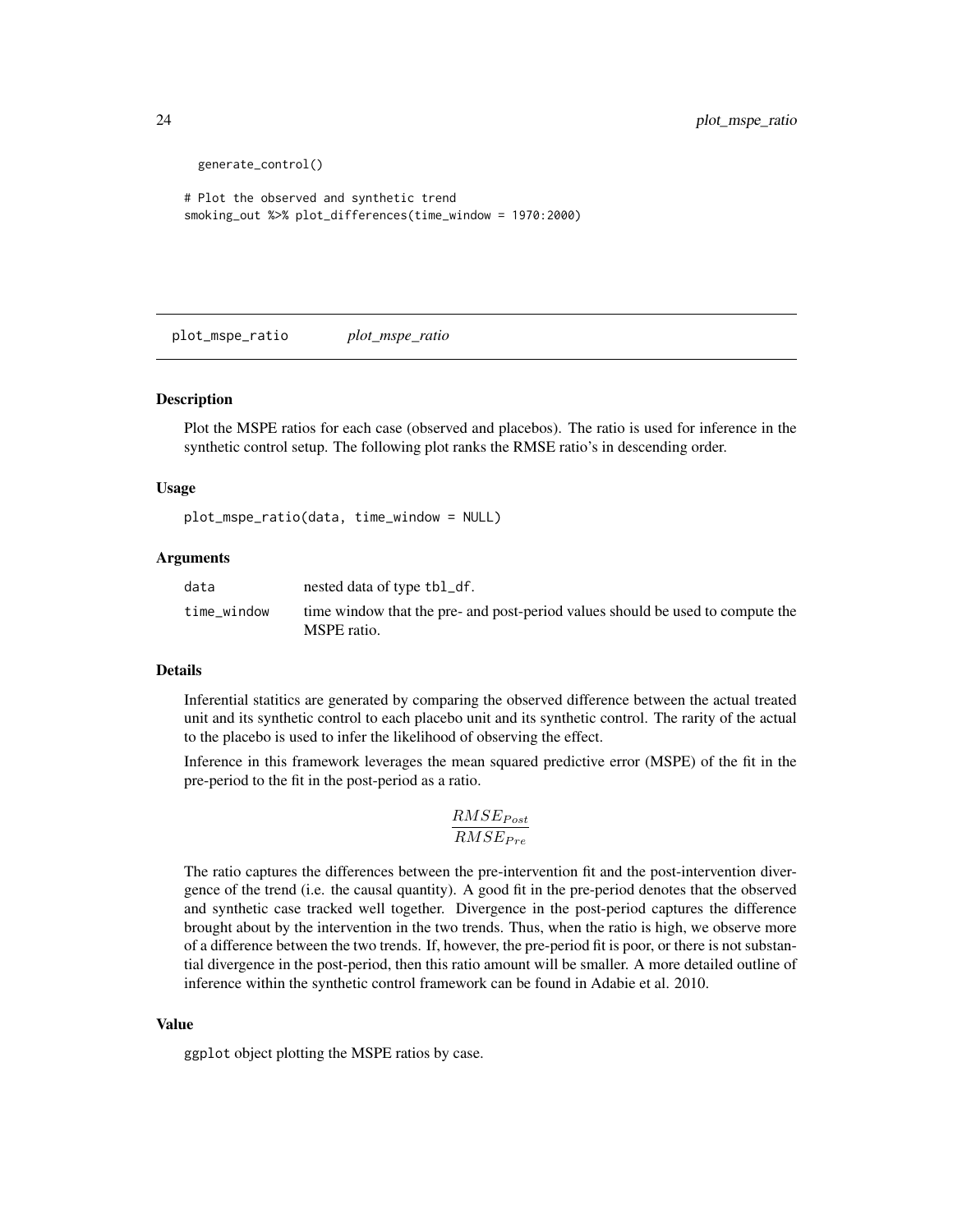```
generate_control()
```

```
# Plot the observed and synthetic trend
smoking_out %>% plot_differences(time_window = 1970:2000)
```
plot\_mspe\_ratio *plot\_mspe\_ratio*

#### Description

Plot the MSPE ratios for each case (observed and placebos). The ratio is used for inference in the synthetic control setup. The following plot ranks the RMSE ratio's in descending order.

# Usage

plot\_mspe\_ratio(data, time\_window = NULL)

# Arguments

| data        | nested data of type tbl_df.                                                                   |
|-------------|-----------------------------------------------------------------------------------------------|
| time_window | time window that the pre- and post-period values should be used to compute the<br>MSPE ratio. |

# Details

Inferential statitics are generated by comparing the observed difference between the actual treated unit and its synthetic control to each placebo unit and its synthetic control. The rarity of the actual to the placebo is used to infer the likelihood of observing the effect.

Inference in this framework leverages the mean squared predictive error (MSPE) of the fit in the pre-period to the fit in the post-period as a ratio.

$$
\frac{RMSE_{Post}}{RMSE_{Pre}}
$$

The ratio captures the differences between the pre-intervention fit and the post-intervention divergence of the trend (i.e. the causal quantity). A good fit in the pre-period denotes that the observed and synthetic case tracked well together. Divergence in the post-period captures the difference brought about by the intervention in the two trends. Thus, when the ratio is high, we observe more of a difference between the two trends. If, however, the pre-period fit is poor, or there is not substantial divergence in the post-period, then this ratio amount will be smaller. A more detailed outline of inference within the synthetic control framework can be found in Adabie et al. 2010.

#### Value

ggplot object plotting the MSPE ratios by case.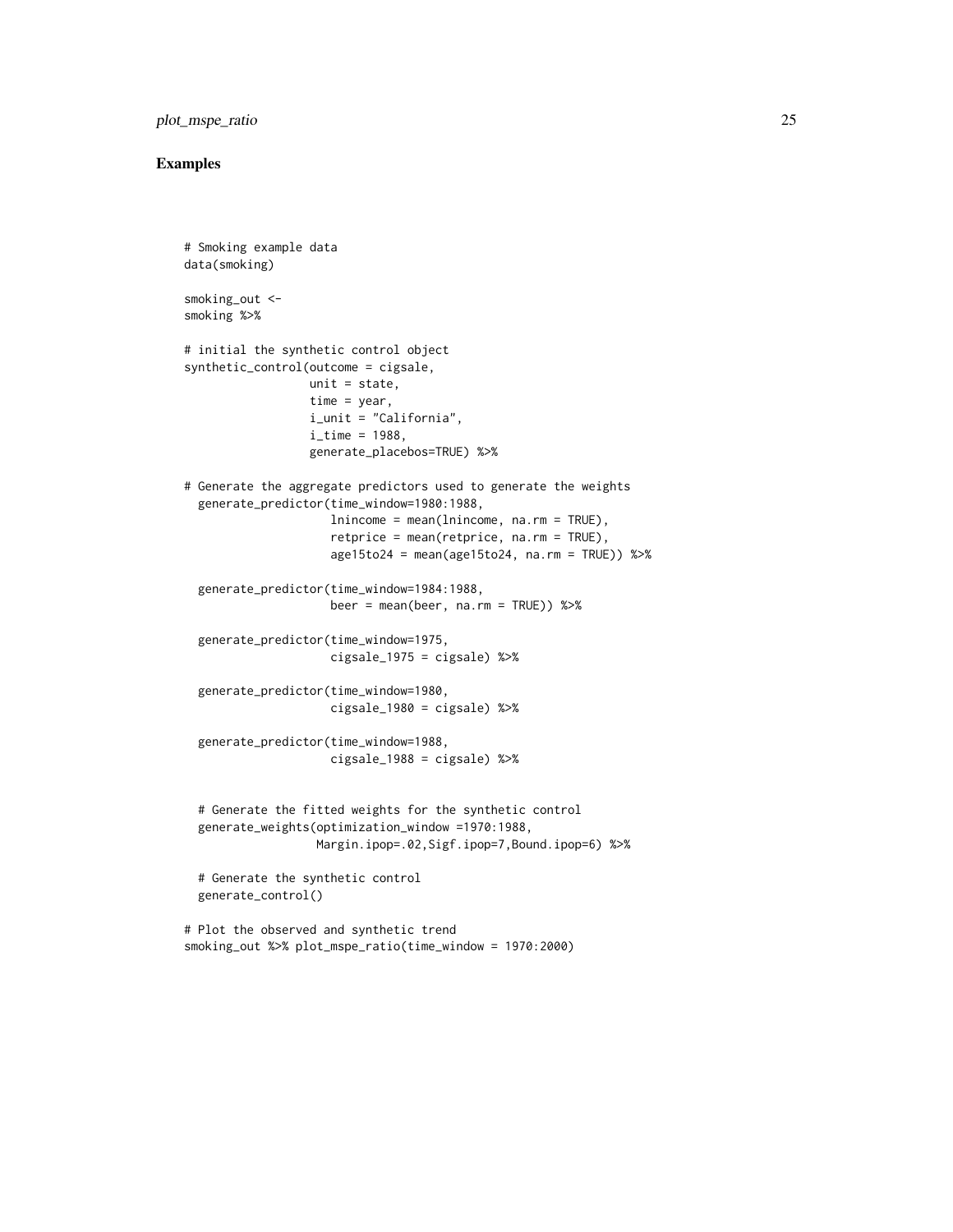# plot\_mspe\_ratio 25

```
# Smoking example data
data(smoking)
smoking_out <-
smoking %>%
# initial the synthetic control object
synthetic_control(outcome = cigsale,
                  unit = state,time = year,
                  i_unit = "California",
                  i<sub>_time</sub> = 1988,
                  generate_placebos=TRUE) %>%
# Generate the aggregate predictors used to generate the weights
 generate_predictor(time_window=1980:1988,
                     lnincome = mean(lnincome, na.rm = TRUE),
                     retprice = mean(retprice, na.rm = TRUE),
                     age15to24 = mean(age15to24, na.rm = TRUE)) %>%
 generate_predictor(time_window=1984:1988,
                     beer = mean(beer, na.rm = TRUE)) %>%
 generate_predictor(time_window=1975,
                     cigsale_1975 = cigsale) %>%
 generate_predictor(time_window=1980,
                     cigsale_1980 = cigsale) %>%
 generate_predictor(time_window=1988,
                     cigsale_1988 = cigsale) %>%
 # Generate the fitted weights for the synthetic control
 generate_weights(optimization_window =1970:1988,
                   Margin.ipop=.02,Sigf.ipop=7,Bound.ipop=6) %>%
 # Generate the synthetic control
 generate_control()
# Plot the observed and synthetic trend
smoking_out %>% plot_mspe_ratio(time_window = 1970:2000)
```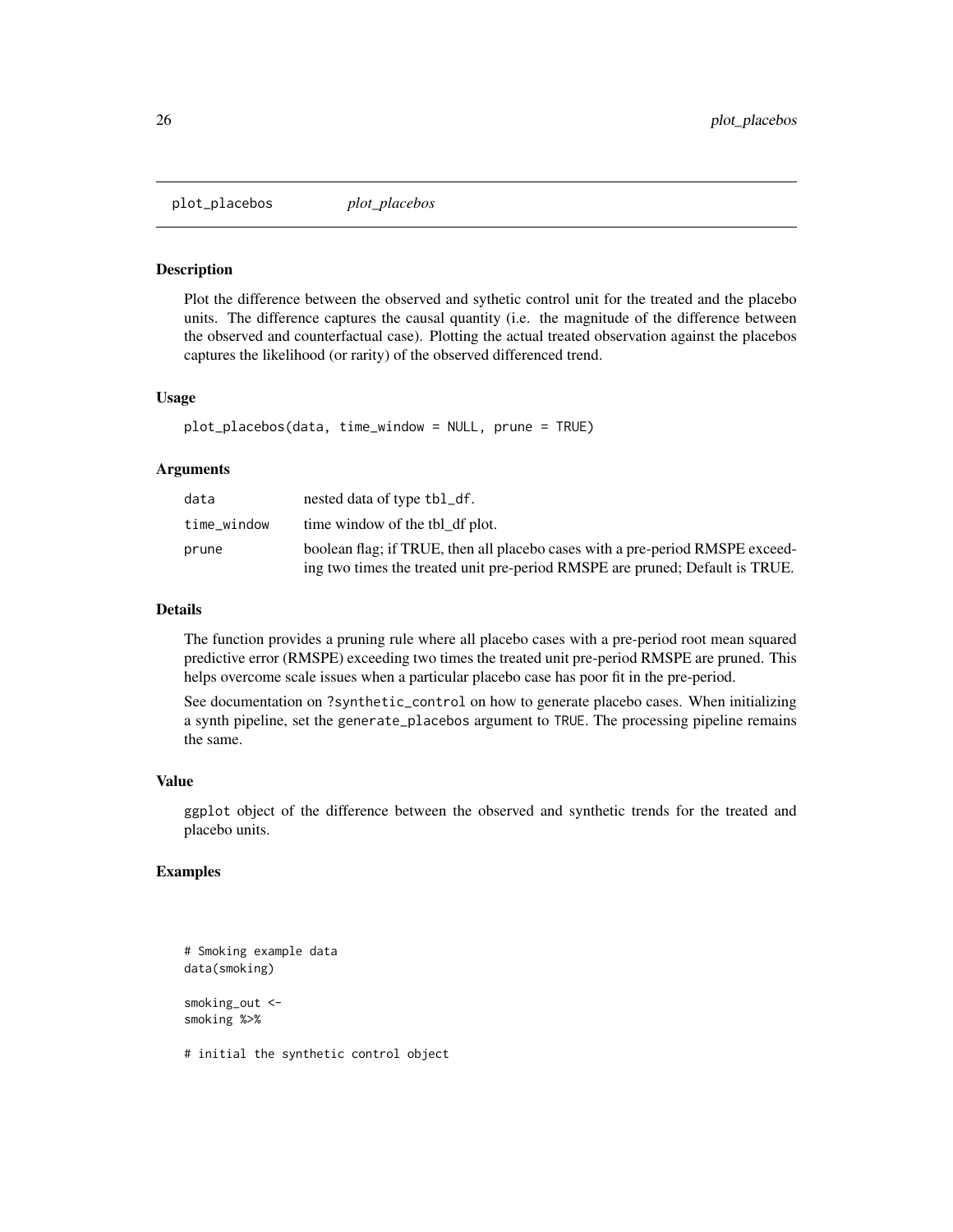<span id="page-25-0"></span>plot\_placebos *plot\_placebos*

# Description

Plot the difference between the observed and sythetic control unit for the treated and the placebo units. The difference captures the causal quantity (i.e. the magnitude of the difference between the observed and counterfactual case). Plotting the actual treated observation against the placebos captures the likelihood (or rarity) of the observed differenced trend.

#### Usage

plot\_placebos(data, time\_window = NULL, prune = TRUE)

# Arguments

| data        | nested data of type tbl_df.                                                   |
|-------------|-------------------------------------------------------------------------------|
| time_window | time window of the tbl df plot.                                               |
| prune       | boolean flag; if TRUE, then all placebo cases with a pre-period RMSPE exceed- |
|             | ing two times the treated unit pre-period RMSPE are pruned; Default is TRUE.  |

# Details

The function provides a pruning rule where all placebo cases with a pre-period root mean squared predictive error (RMSPE) exceeding two times the treated unit pre-period RMSPE are pruned. This helps overcome scale issues when a particular placebo case has poor fit in the pre-period.

See documentation on ?synthetic\_control on how to generate placebo cases. When initializing a synth pipeline, set the generate\_placebos argument to TRUE. The processing pipeline remains the same.

#### Value

ggplot object of the difference between the observed and synthetic trends for the treated and placebo units.

# Examples

```
# Smoking example data
data(smoking)
smoking_out <-
smoking %>%
```
# initial the synthetic control object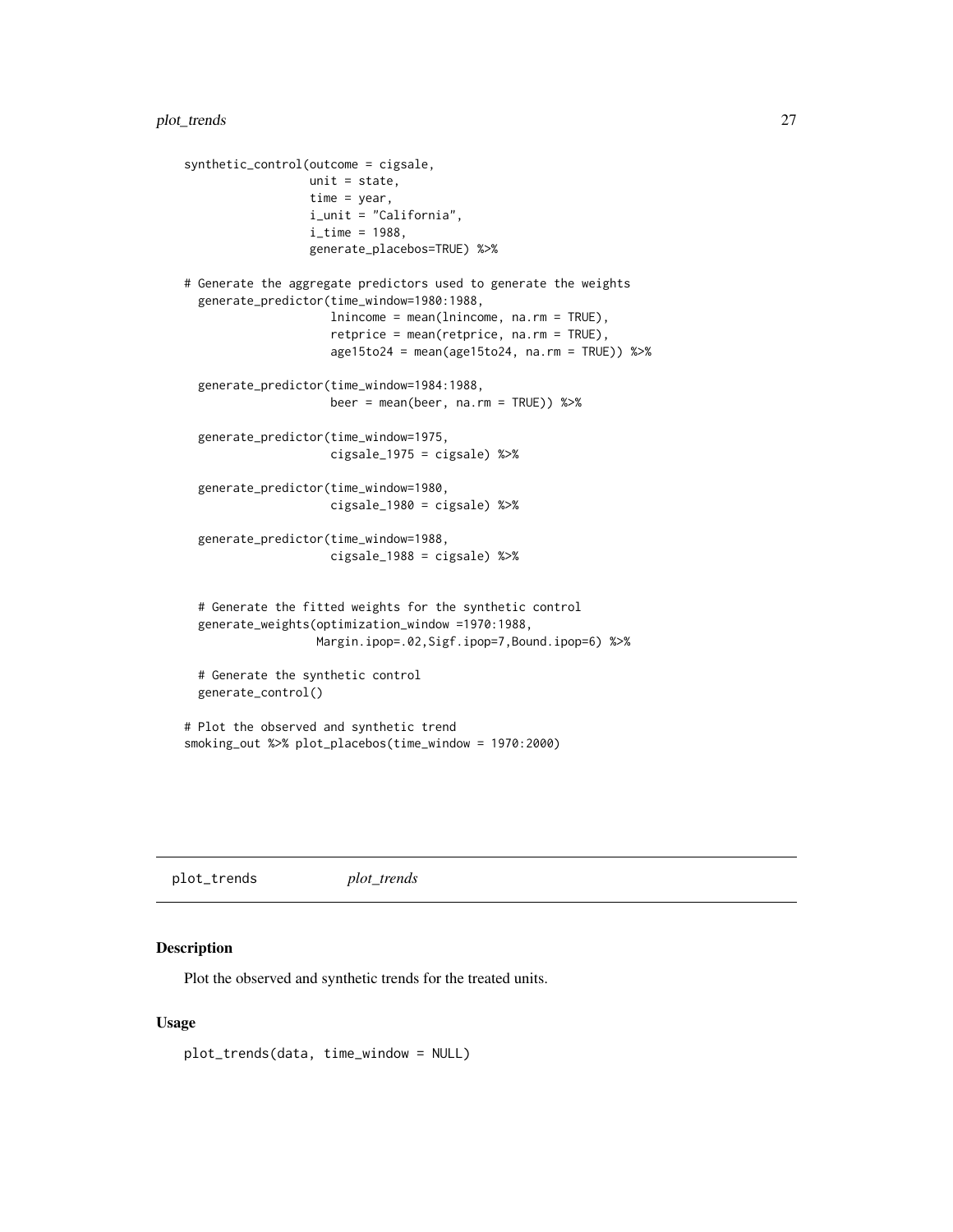```
synthetic_control(outcome = cigsale,
                 unit = state,
                 time = year,
                  i_unit = "California",
                  i_time = 1988,
                  generate_placebos=TRUE) %>%
# Generate the aggregate predictors used to generate the weights
 generate_predictor(time_window=1980:1988,
                     lnincome = mean(lnincome, na.rm = TRUE),
                     retprice = mean(retprice, na.rm = TRUE),
                     age15to24 = mean(age15to24, na.rm = TRUE)) %>%
 generate_predictor(time_window=1984:1988,
                     beer = mean(beer, na.rm = TRUE)) %>%
 generate_predictor(time_window=1975,
                     cigsale_1975 = cigsale) %>%
 generate_predictor(time_window=1980,
                     cigsale_1980 = cigsale) %>%
 generate_predictor(time_window=1988,
                     cigsale_1988 = cigsale) %>%
 # Generate the fitted weights for the synthetic control
 generate_weights(optimization_window =1970:1988,
                  Margin.ipop=.02,Sigf.ipop=7,Bound.ipop=6) %>%
 # Generate the synthetic control
 generate_control()
# Plot the observed and synthetic trend
smoking_out %>% plot_placebos(time_window = 1970:2000)
```
plot\_trends *plot\_trends*

# Description

Plot the observed and synthetic trends for the treated units.

# Usage

```
plot_trends(data, time_window = NULL)
```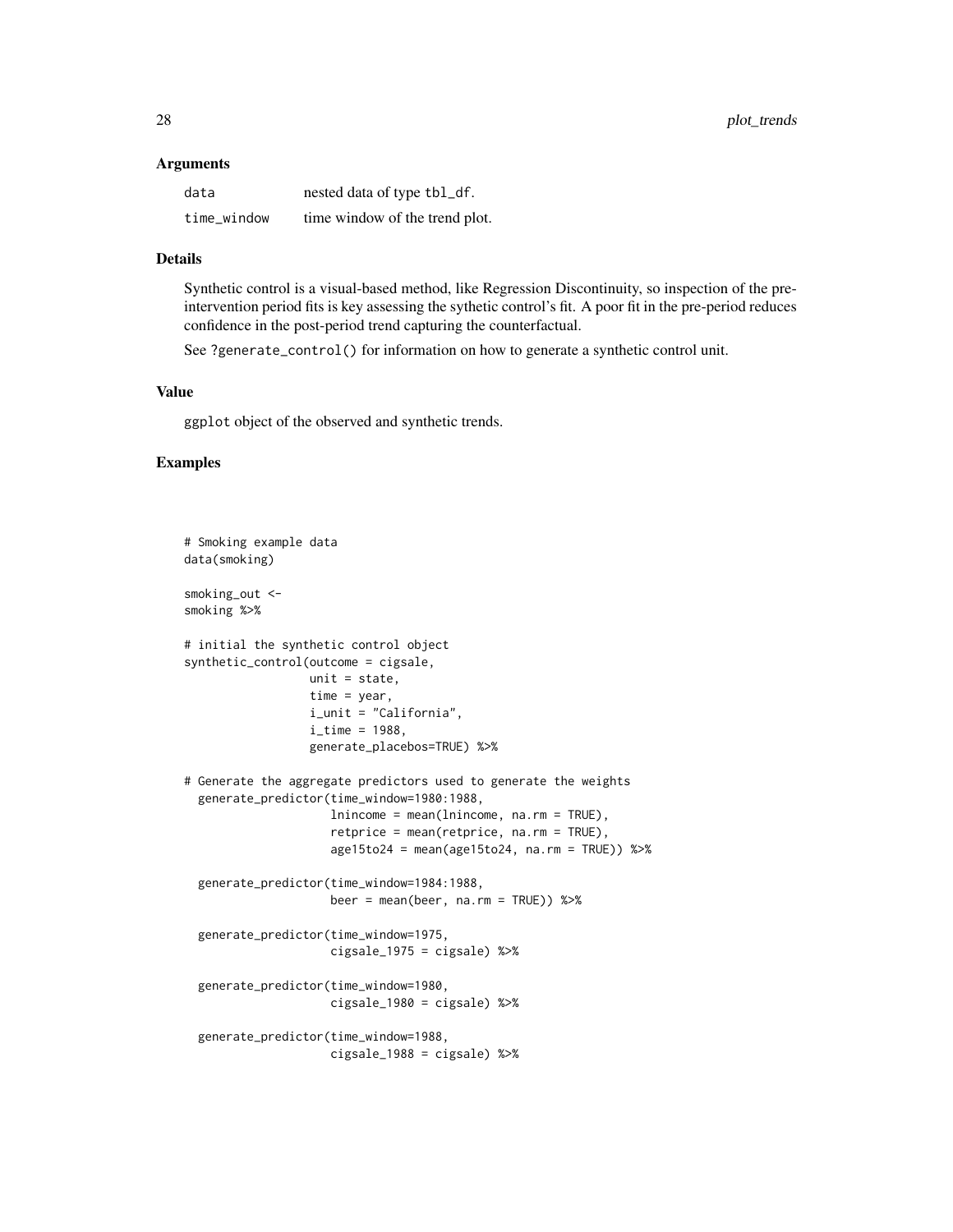#### Arguments

| data        | nested data of type tbl_df.    |
|-------------|--------------------------------|
| time_window | time window of the trend plot. |

# Details

Synthetic control is a visual-based method, like Regression Discontinuity, so inspection of the preintervention period fits is key assessing the sythetic control's fit. A poor fit in the pre-period reduces confidence in the post-period trend capturing the counterfactual.

See ?generate\_control() for information on how to generate a synthetic control unit.

# Value

ggplot object of the observed and synthetic trends.

```
# Smoking example data
data(smoking)
smoking_out <-
smoking %>%
# initial the synthetic control object
synthetic_control(outcome = cigsale,
                  unit = state,
                  time = year,
                  i_unit = "California",
                  i<sub>_time</sub> = 1988,
                  generate_placebos=TRUE) %>%
# Generate the aggregate predictors used to generate the weights
 generate_predictor(time_window=1980:1988,
                     lnincome = mean(lnincome, na.rm = TRUE),
                     retprice = mean(retprice, na.rm = TRUE),
                     age15to24 = mean(age15to24, na.rm = TRUE)) %>%
 generate_predictor(time_window=1984:1988,
                     beer = mean(beer, na.rm = TRUE)) %>%
 generate_predictor(time_window=1975,
                     cigsale_1975 = cigsale) %>%
 generate_predictor(time_window=1980,
                     cigsale_1980 = cigsale) %>%
 generate_predictor(time_window=1988,
                     cigsale_1988 = cigsale) %>%
```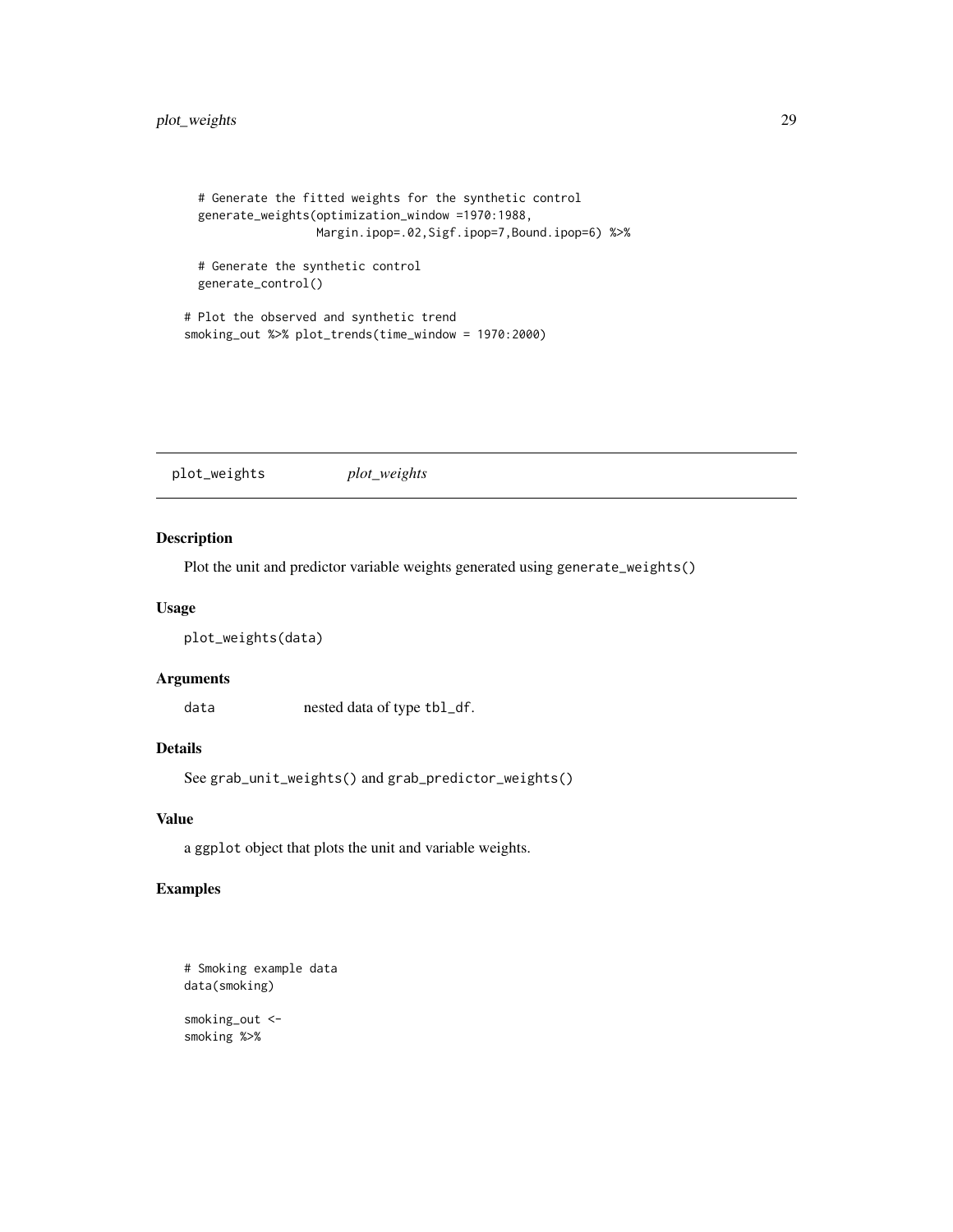# <span id="page-28-0"></span>plot\_weights 29

```
# Generate the fitted weights for the synthetic control
 generate_weights(optimization_window =1970:1988,
                  Margin.ipop=.02,Sigf.ipop=7,Bound.ipop=6) %>%
 # Generate the synthetic control
 generate_control()
# Plot the observed and synthetic trend
```
smoking\_out %>% plot\_trends(time\_window = 1970:2000)

plot\_weights *plot\_weights*

# Description

Plot the unit and predictor variable weights generated using generate\_weights()

# Usage

```
plot_weights(data)
```
# Arguments

data nested data of type tbl\_df.

# Details

See grab\_unit\_weights() and grab\_predictor\_weights()

# Value

a ggplot object that plots the unit and variable weights.

```
# Smoking example data
data(smoking)
smoking_out <-
smoking %>%
```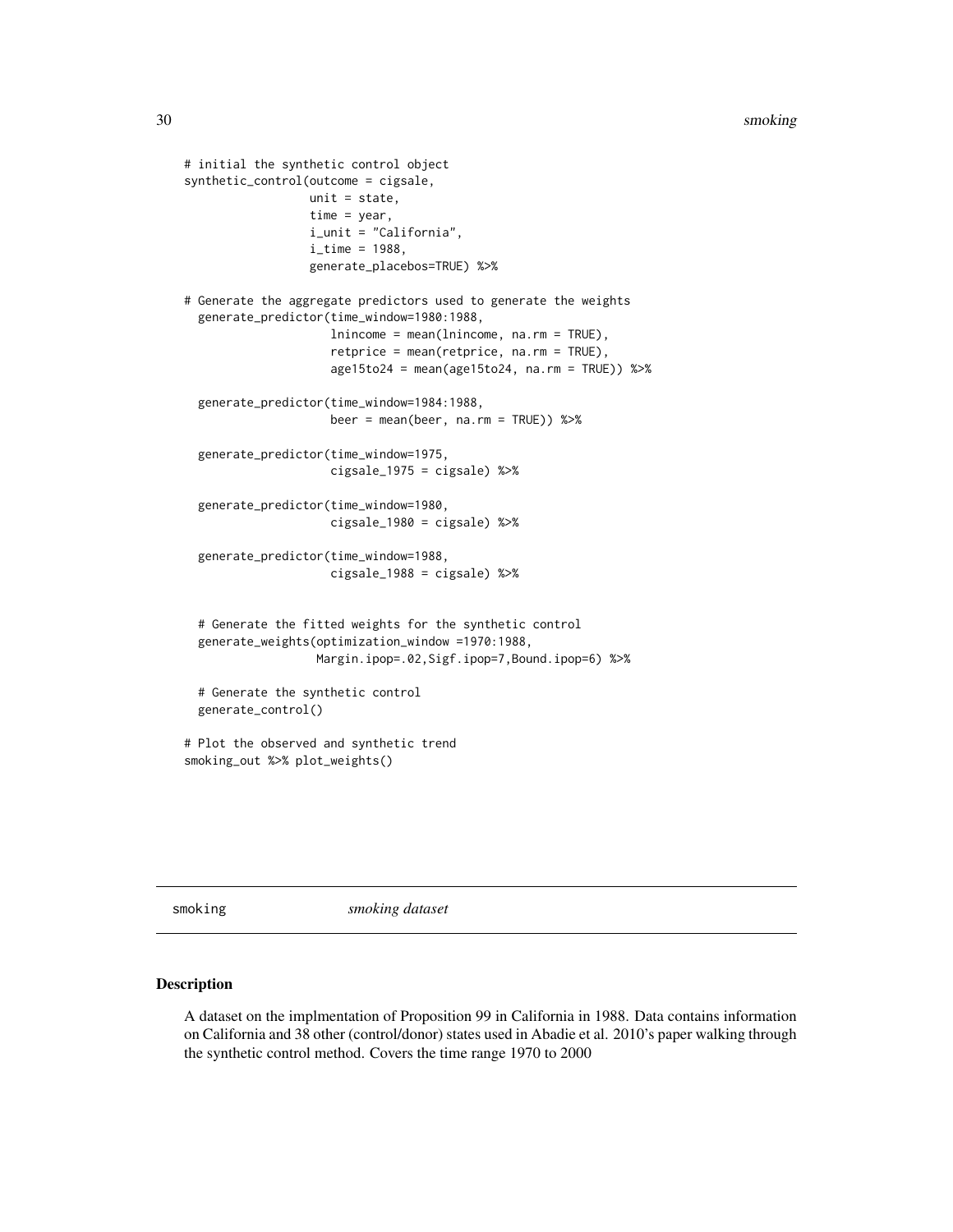```
# initial the synthetic control object
synthetic_control(outcome = cigsale,
                  unit = state,
                  time = year,
                  i_unit = "California",
                  i<sub>_time</sub> = 1988,
                  generate_placebos=TRUE) %>%
# Generate the aggregate predictors used to generate the weights
 generate_predictor(time_window=1980:1988,
                     lnincome = mean(lnincome, na.rm = TRUE),
                     retprice = mean(retprice, na.rm = TRUE),
                     age15to24 = mean(age15to24, na.rm = TRUE)) %>%
 generate_predictor(time_window=1984:1988,
                     beer = mean(beer, na.rm = TRUE)) %>%
 generate_predictor(time_window=1975,
                     cigsale_1975 = cigsale) %>%
 generate_predictor(time_window=1980,
                     cigsale_1980 = cigsale) %>%
 generate_predictor(time_window=1988,
                     cigsale_1988 = cigsale) %>%
 # Generate the fitted weights for the synthetic control
 generate_weights(optimization_window =1970:1988,
                   Margin.ipop=.02,Sigf.ipop=7,Bound.ipop=6) %>%
 # Generate the synthetic control
 generate_control()
# Plot the observed and synthetic trend
smoking_out %>% plot_weights()
```
smoking *smoking dataset*

#### Description

A dataset on the implmentation of Proposition 99 in California in 1988. Data contains information on California and 38 other (control/donor) states used in Abadie et al. 2010's paper walking through the synthetic control method. Covers the time range 1970 to 2000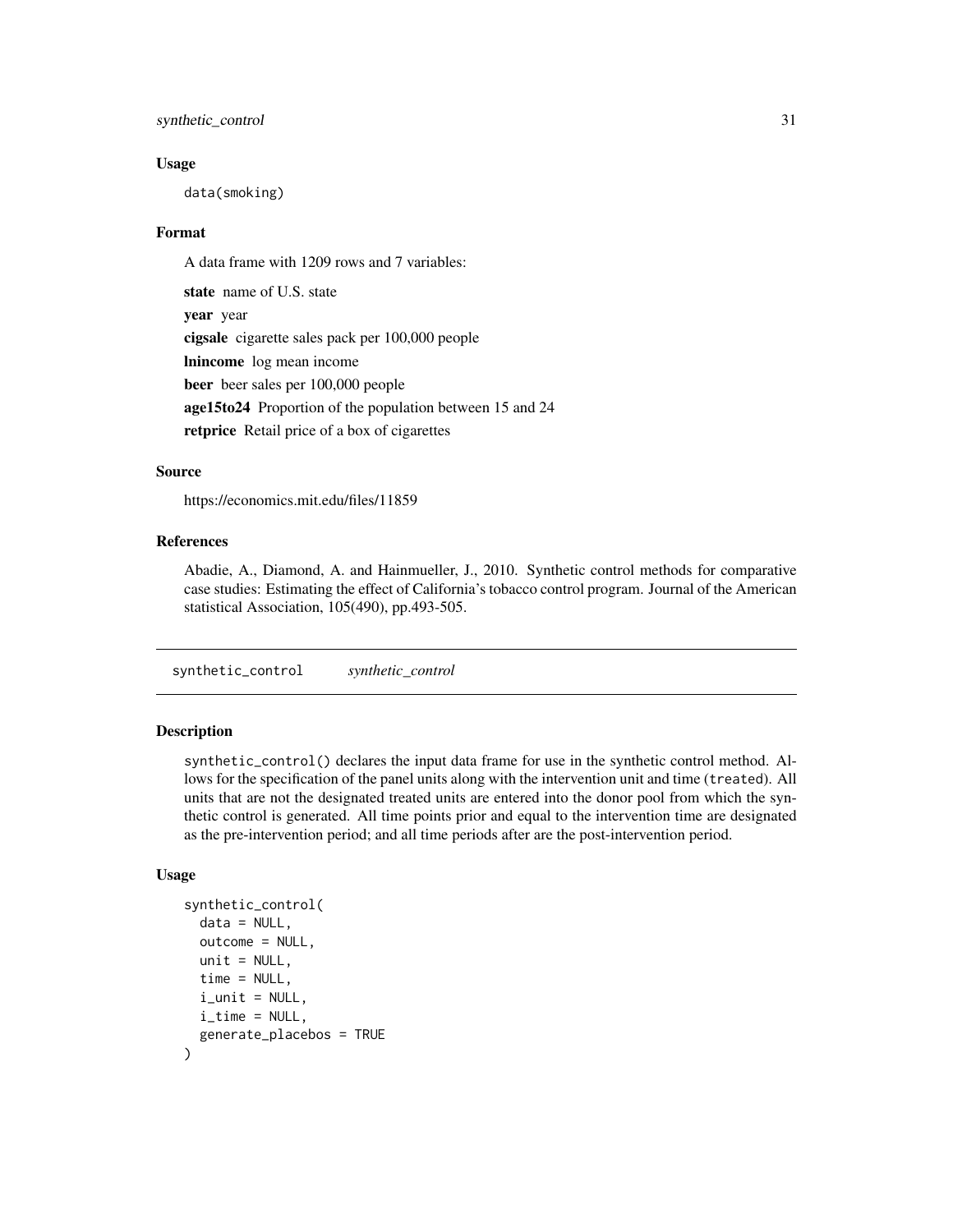# <span id="page-30-0"></span>synthetic\_control 31

### Usage

data(smoking)

# Format

A data frame with 1209 rows and 7 variables:

state name of U.S. state year year cigsale cigarette sales pack per 100,000 people lnincome log mean income beer beer sales per 100,000 people age15to24 Proportion of the population between 15 and 24 retprice Retail price of a box of cigarettes

# Source

https://economics.mit.edu/files/11859

# References

Abadie, A., Diamond, A. and Hainmueller, J., 2010. Synthetic control methods for comparative case studies: Estimating the effect of California's tobacco control program. Journal of the American statistical Association, 105(490), pp.493-505.

synthetic\_control *synthetic\_control*

# **Description**

synthetic\_control() declares the input data frame for use in the synthetic control method. Allows for the specification of the panel units along with the intervention unit and time (treated). All units that are not the designated treated units are entered into the donor pool from which the synthetic control is generated. All time points prior and equal to the intervention time are designated as the pre-intervention period; and all time periods after are the post-intervention period.

# Usage

```
synthetic_control(
  data = NULL,outcome = NULL,
  unit = NULL,time = NULL,
  i_unit = NULL,
  i_time = NULL,
  generate_placebos = TRUE
)
```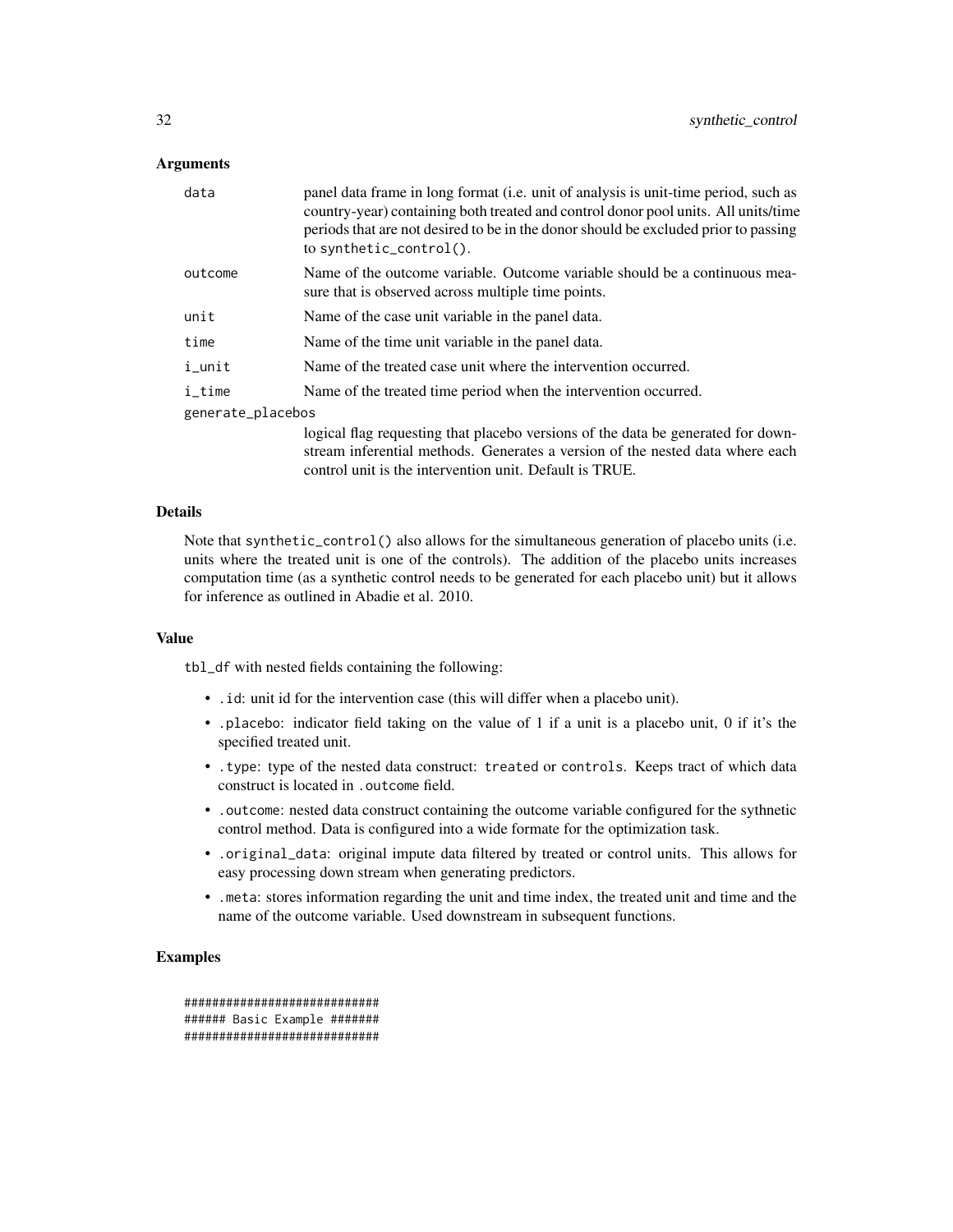# Arguments

| data              | panel data frame in long format (i.e. unit of analysis is unit-time period, such as<br>country-year) containing both treated and control donor pool units. All units/time<br>periods that are not desired to be in the donor should be excluded prior to passing<br>to synthetic_control(). |
|-------------------|---------------------------------------------------------------------------------------------------------------------------------------------------------------------------------------------------------------------------------------------------------------------------------------------|
| outcome           | Name of the outcome variable. Outcome variable should be a continuous mea-<br>sure that is observed across multiple time points.                                                                                                                                                            |
| unit              | Name of the case unit variable in the panel data.                                                                                                                                                                                                                                           |
| time              | Name of the time unit variable in the panel data.                                                                                                                                                                                                                                           |
| i_unit            | Name of the treated case unit where the intervention occurred.                                                                                                                                                                                                                              |
| i_time            | Name of the treated time period when the intervention occurred.                                                                                                                                                                                                                             |
| generate_placebos |                                                                                                                                                                                                                                                                                             |
|                   | logical flag requesting that placebo versions of the data be generated for down-<br>stream inferential methods. Generates a version of the nested data where each                                                                                                                           |

#### Details

Note that synthetic\_control() also allows for the simultaneous generation of placebo units (i.e. units where the treated unit is one of the controls). The addition of the placebo units increases computation time (as a synthetic control needs to be generated for each placebo unit) but it allows for inference as outlined in Abadie et al. 2010.

control unit is the intervention unit. Default is TRUE.

# Value

tbl\_df with nested fields containing the following:

- .id: unit id for the intervention case (this will differ when a placebo unit).
- .placebo: indicator field taking on the value of 1 if a unit is a placebo unit, 0 if it's the specified treated unit.
- .type: type of the nested data construct: treated or controls. Keeps tract of which data construct is located in .outcome field.
- .outcome: nested data construct containing the outcome variable configured for the sythnetic control method. Data is configured into a wide formate for the optimization task.
- .original\_data: original impute data filtered by treated or control units. This allows for easy processing down stream when generating predictors.
- .meta: stores information regarding the unit and time index, the treated unit and time and the name of the outcome variable. Used downstream in subsequent functions.

```
############################
###### Basic Example #######
############################
```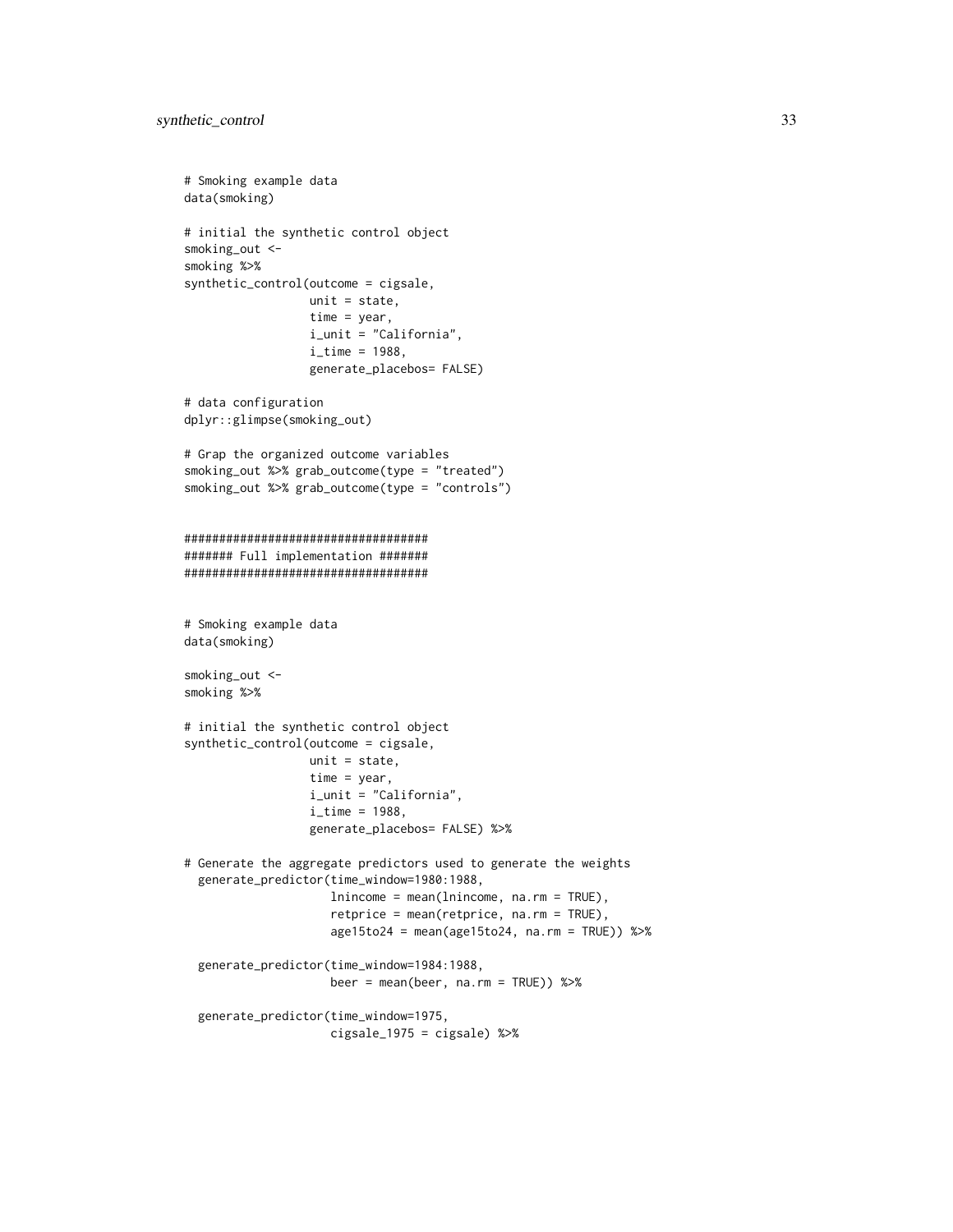```
# Smoking example data
data(smoking)
# initial the synthetic control object
smoking_out <-
smoking %>%
synthetic_control(outcome = cigsale,
                  unit = state,time = year,
                  i_unit = "California",
                  i<sub>_</sub>time = 1988,
                  generate_placebos= FALSE)
# data configuration
dplyr::glimpse(smoking_out)
# Grap the organized outcome variables
smoking_out %>% grab_outcome(type = "treated")
smoking_out %>% grab_outcome(type = "controls")
###################################
####### Full implementation #######
###################################
# Smoking example data
data(smoking)
smoking_out <-
smoking %>%
# initial the synthetic control object
synthetic_control(outcome = cigsale,
                  unit = state,time = year,
                  i_unit = "California",
                  i<sub>_</sub>time = 1988,
                  generate_placebos= FALSE) %>%
# Generate the aggregate predictors used to generate the weights
 generate_predictor(time_window=1980:1988,
                     lnincome = mean(lnincome, na.rm = TRUE),
                     retprice = mean(retprice, na.rm = TRUE),
                     age15to24 = mean(age15to24, na.rm = TRUE)) %>%
 generate_predictor(time_window=1984:1988,
                     beer = mean(beer, na.rm = TRUE)) %>%
 generate_predictor(time_window=1975,
                     cigsale_1975 = cigsale) %>%
```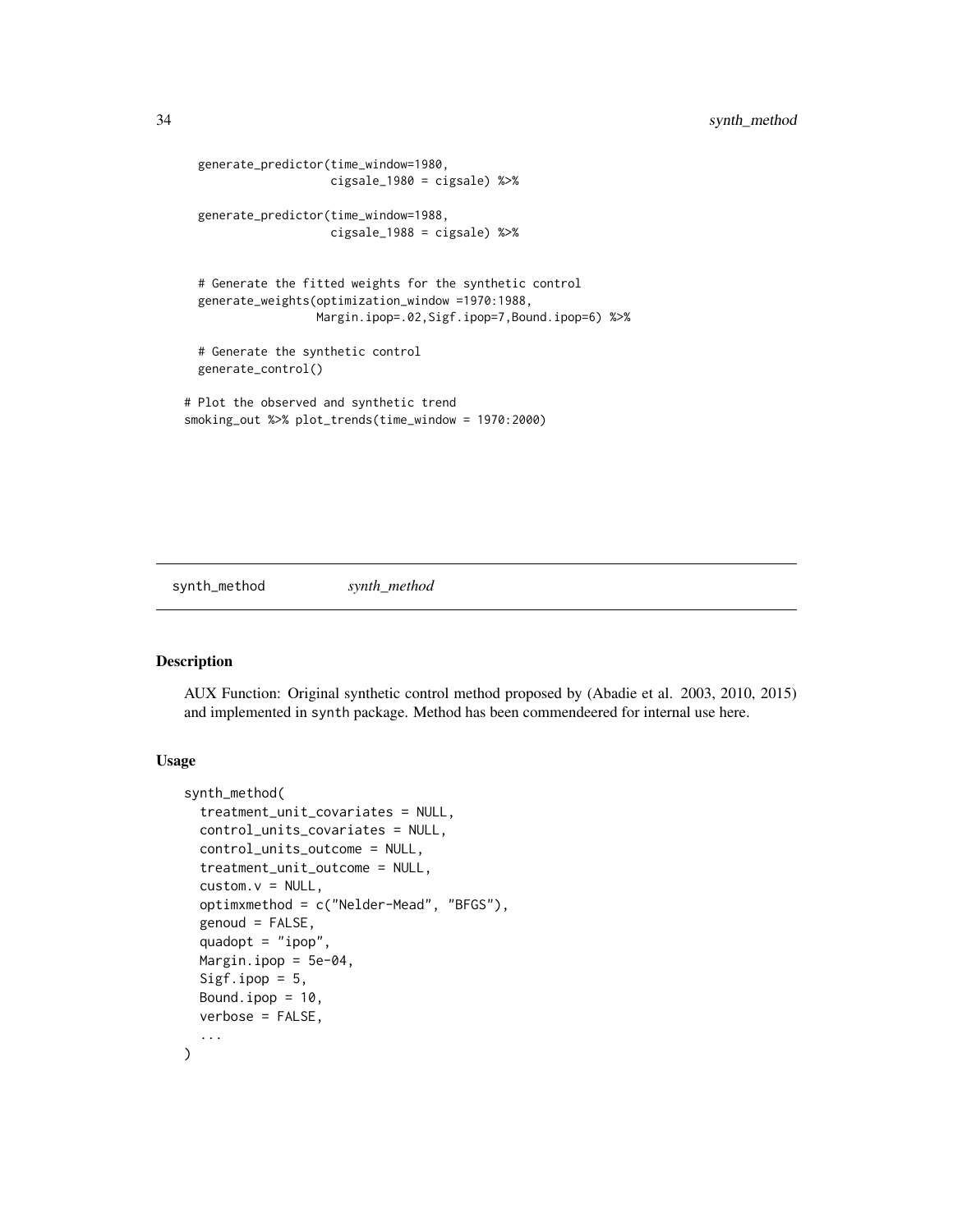```
generate_predictor(time_window=1980,
                    cigsale_1980 = cigsale) %>%
 generate_predictor(time_window=1988,
                    cigsale_1988 = cigsale) %>%
 # Generate the fitted weights for the synthetic control
 generate_weights(optimization_window =1970:1988,
                  Margin.ipop=.02,Sigf.ipop=7,Bound.ipop=6) %>%
 # Generate the synthetic control
 generate_control()
# Plot the observed and synthetic trend
smoking_out %>% plot_trends(time_window = 1970:2000)
```
synth\_method *synth\_method*

#### Description

AUX Function: Original synthetic control method proposed by (Abadie et al. 2003, 2010, 2015) and implemented in synth package. Method has been commendeered for internal use here.

# Usage

```
synth_method(
  treatment_unit_covariates = NULL,
  control_units_covariates = NULL,
  control_units_outcome = NULL,
  treatment_unit_outcome = NULL,
  custom.v = NULL,optimxmethod = c("Nelder-Mead", "BFGS"),
  genoud = FALSE,
  quadopt = "ipop",Margin.ipop = 5e-04,
  Sigf.ipop = 5,
 Bound.ipop = 10,
  verbose = FALSE,
  ...
)
```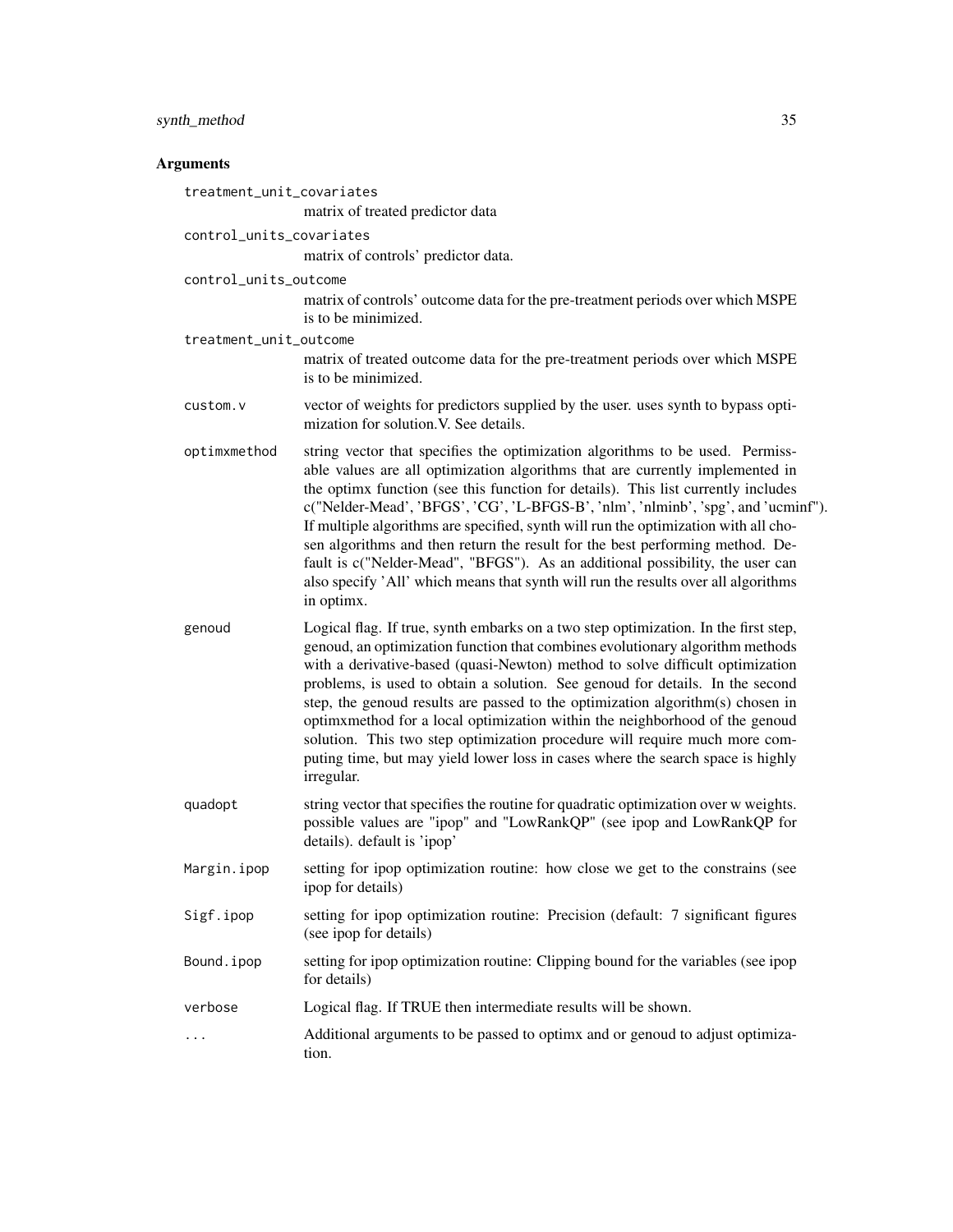# synth\_method 35

# Arguments

| treatment_unit_covariates | matrix of treated predictor data                                                                                                                                                                                                                                                                                                                                                                                                                                                                                                                                                                                                                                                                      |
|---------------------------|-------------------------------------------------------------------------------------------------------------------------------------------------------------------------------------------------------------------------------------------------------------------------------------------------------------------------------------------------------------------------------------------------------------------------------------------------------------------------------------------------------------------------------------------------------------------------------------------------------------------------------------------------------------------------------------------------------|
|                           |                                                                                                                                                                                                                                                                                                                                                                                                                                                                                                                                                                                                                                                                                                       |
| control_units_covariates  | matrix of controls' predictor data.                                                                                                                                                                                                                                                                                                                                                                                                                                                                                                                                                                                                                                                                   |
| control_units_outcome     | matrix of controls' outcome data for the pre-treatment periods over which MSPE<br>is to be minimized.                                                                                                                                                                                                                                                                                                                                                                                                                                                                                                                                                                                                 |
| treatment_unit_outcome    |                                                                                                                                                                                                                                                                                                                                                                                                                                                                                                                                                                                                                                                                                                       |
|                           | matrix of treated outcome data for the pre-treatment periods over which MSPE<br>is to be minimized.                                                                                                                                                                                                                                                                                                                                                                                                                                                                                                                                                                                                   |
| custom.v                  | vector of weights for predictors supplied by the user. uses synth to bypass opti-<br>mization for solution. V. See details.                                                                                                                                                                                                                                                                                                                                                                                                                                                                                                                                                                           |
| optimxmethod              | string vector that specifies the optimization algorithms to be used. Permiss-<br>able values are all optimization algorithms that are currently implemented in<br>the optimx function (see this function for details). This list currently includes<br>c("Nelder-Mead', 'BFGS', 'CG', 'L-BFGS-B', 'nlm', 'nlminb', 'spg', and 'ucminf").<br>If multiple algorithms are specified, synth will run the optimization with all cho-<br>sen algorithms and then return the result for the best performing method. De-<br>fault is c("Nelder-Mead", "BFGS"). As an additional possibility, the user can<br>also specify 'All' which means that synth will run the results over all algorithms<br>in optimx. |
| genoud                    | Logical flag. If true, synth embarks on a two step optimization. In the first step,<br>genoud, an optimization function that combines evolutionary algorithm methods<br>with a derivative-based (quasi-Newton) method to solve difficult optimization<br>problems, is used to obtain a solution. See genoud for details. In the second<br>step, the genoud results are passed to the optimization algorithm(s) chosen in<br>optimxmethod for a local optimization within the neighborhood of the genoud<br>solution. This two step optimization procedure will require much more com-<br>puting time, but may yield lower loss in cases where the search space is highly<br>irregular.                |
| quadopt                   | string vector that specifies the routine for quadratic optimization over w weights.<br>possible values are "ipop" and "LowRankQP" (see ipop and LowRankQP for<br>details). default is 'ipop'                                                                                                                                                                                                                                                                                                                                                                                                                                                                                                          |
| Margin.ipop               | setting for ipop optimization routine: how close we get to the constrains (see<br>ipop for details)                                                                                                                                                                                                                                                                                                                                                                                                                                                                                                                                                                                                   |
| Sigf.ipop                 | setting for ipop optimization routine: Precision (default: 7 significant figures<br>(see ipop for details)                                                                                                                                                                                                                                                                                                                                                                                                                                                                                                                                                                                            |
| Bound.ipop                | setting for ipop optimization routine: Clipping bound for the variables (see ipop<br>for details)                                                                                                                                                                                                                                                                                                                                                                                                                                                                                                                                                                                                     |
| verbose                   | Logical flag. If TRUE then intermediate results will be shown.                                                                                                                                                                                                                                                                                                                                                                                                                                                                                                                                                                                                                                        |
| $\ddots$                  | Additional arguments to be passed to optimx and or genoud to adjust optimiza-<br>tion.                                                                                                                                                                                                                                                                                                                                                                                                                                                                                                                                                                                                                |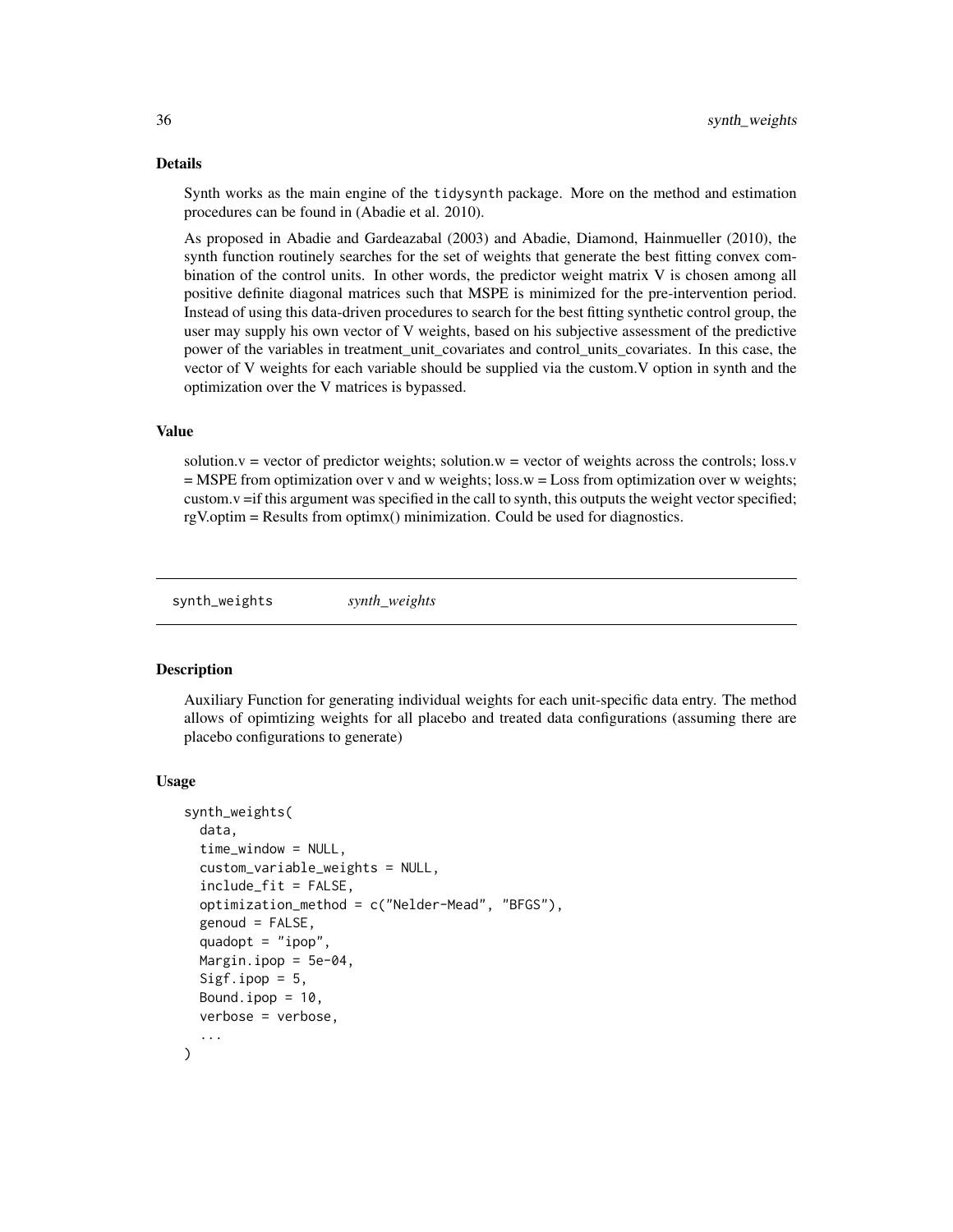### Details

Synth works as the main engine of the tidysynth package. More on the method and estimation procedures can be found in (Abadie et al. 2010).

As proposed in Abadie and Gardeazabal (2003) and Abadie, Diamond, Hainmueller (2010), the synth function routinely searches for the set of weights that generate the best fitting convex combination of the control units. In other words, the predictor weight matrix V is chosen among all positive definite diagonal matrices such that MSPE is minimized for the pre-intervention period. Instead of using this data-driven procedures to search for the best fitting synthetic control group, the user may supply his own vector of V weights, based on his subjective assessment of the predictive power of the variables in treatment\_unit\_covariates and control\_units\_covariates. In this case, the vector of V weights for each variable should be supplied via the custom.V option in synth and the optimization over the V matrices is bypassed.

# Value

solution. $v =$  vector of predictor weights; solution. $w =$  vector of weights across the controls; loss. $v =$ = MSPE from optimization over v and w weights; loss.w = Loss from optimization over w weights; custom.v =if this argument was specified in the call to synth, this outputs the weight vector specified; rgV.optim = Results from optimx() minimization. Could be used for diagnostics.

synth\_weights *synth\_weights*

#### **Description**

Auxiliary Function for generating individual weights for each unit-specific data entry. The method allows of opimtizing weights for all placebo and treated data configurations (assuming there are placebo configurations to generate)

#### Usage

```
synth_weights(
  data,
  time_window = NULL,
  custom_variable_weights = NULL,
  include\_fit = FALSE,optimization_method = c("Nelder-Mead", "BFGS"),
  genoud = FALSE,quadopt = "ipop",
 Margin.ipop = 5e-04.
  Sigf.ipop = 5,
  Bound.ipop = 10.
  verbose = verbose,
  ...
)
```
<span id="page-35-0"></span>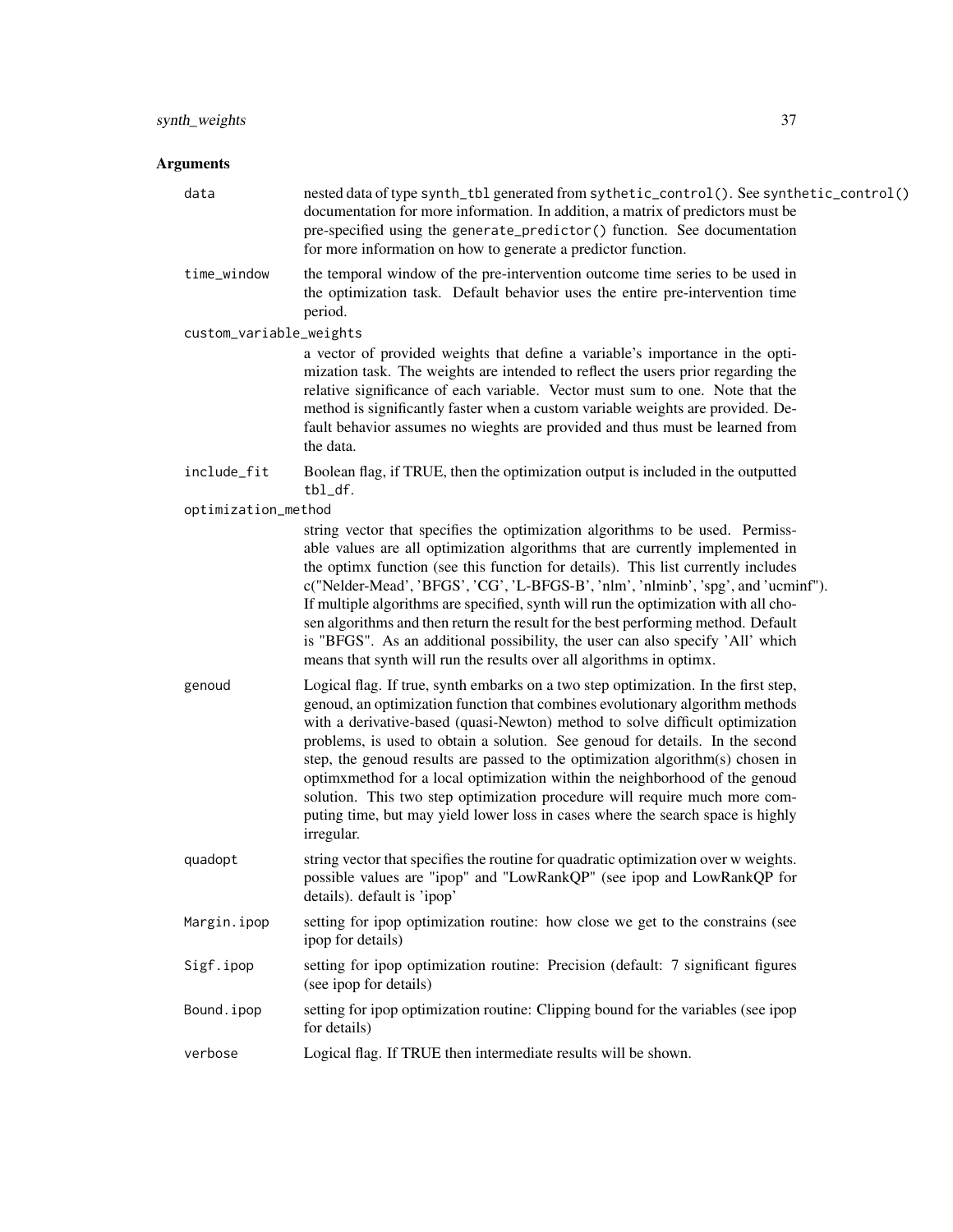# Arguments

| data                    | nested data of type synth_tbl generated from sythetic_control(). See synthetic_control()<br>documentation for more information. In addition, a matrix of predictors must be<br>pre-specified using the generate_predictor() function. See documentation<br>for more information on how to generate a predictor function.                                                                                                                                                                                                                                                                                                                                                               |
|-------------------------|----------------------------------------------------------------------------------------------------------------------------------------------------------------------------------------------------------------------------------------------------------------------------------------------------------------------------------------------------------------------------------------------------------------------------------------------------------------------------------------------------------------------------------------------------------------------------------------------------------------------------------------------------------------------------------------|
| time_window             | the temporal window of the pre-intervention outcome time series to be used in<br>the optimization task. Default behavior uses the entire pre-intervention time<br>period.                                                                                                                                                                                                                                                                                                                                                                                                                                                                                                              |
| custom_variable_weights |                                                                                                                                                                                                                                                                                                                                                                                                                                                                                                                                                                                                                                                                                        |
|                         | a vector of provided weights that define a variable's importance in the opti-<br>mization task. The weights are intended to reflect the users prior regarding the<br>relative significance of each variable. Vector must sum to one. Note that the<br>method is significantly faster when a custom variable weights are provided. De-<br>fault behavior assumes no wieghts are provided and thus must be learned from<br>the data.                                                                                                                                                                                                                                                     |
| include_fit             | Boolean flag, if TRUE, then the optimization output is included in the outputted<br>tbl_df.                                                                                                                                                                                                                                                                                                                                                                                                                                                                                                                                                                                            |
| optimization_method     |                                                                                                                                                                                                                                                                                                                                                                                                                                                                                                                                                                                                                                                                                        |
|                         | string vector that specifies the optimization algorithms to be used. Permiss-<br>able values are all optimization algorithms that are currently implemented in<br>the optimx function (see this function for details). This list currently includes<br>c("Nelder-Mead', 'BFGS', 'CG', 'L-BFGS-B', 'nlm', 'nlminb', 'spg', and 'ucminf").<br>If multiple algorithms are specified, synth will run the optimization with all cho-<br>sen algorithms and then return the result for the best performing method. Default<br>is "BFGS". As an additional possibility, the user can also specify 'All' which<br>means that synth will run the results over all algorithms in optimx.         |
| genoud                  | Logical flag. If true, synth embarks on a two step optimization. In the first step,<br>genoud, an optimization function that combines evolutionary algorithm methods<br>with a derivative-based (quasi-Newton) method to solve difficult optimization<br>problems, is used to obtain a solution. See genoud for details. In the second<br>step, the genoud results are passed to the optimization algorithm(s) chosen in<br>optimxmethod for a local optimization within the neighborhood of the genoud<br>solution. This two step optimization procedure will require much more com-<br>puting time, but may yield lower loss in cases where the search space is highly<br>irregular. |
| quadopt                 | string vector that specifies the routine for quadratic optimization over w weights.<br>possible values are "ipop" and "LowRankQP" (see ipop and LowRankQP for<br>details). default is 'ipop'                                                                                                                                                                                                                                                                                                                                                                                                                                                                                           |
| Margin.ipop             | setting for ipop optimization routine: how close we get to the constrains (see<br>ipop for details)                                                                                                                                                                                                                                                                                                                                                                                                                                                                                                                                                                                    |
| Sigf.ipop               | setting for ipop optimization routine: Precision (default: 7 significant figures<br>(see ipop for details)                                                                                                                                                                                                                                                                                                                                                                                                                                                                                                                                                                             |
| Bound.ipop              | setting for ipop optimization routine: Clipping bound for the variables (see ipop<br>for details)                                                                                                                                                                                                                                                                                                                                                                                                                                                                                                                                                                                      |
| verbose                 | Logical flag. If TRUE then intermediate results will be shown.                                                                                                                                                                                                                                                                                                                                                                                                                                                                                                                                                                                                                         |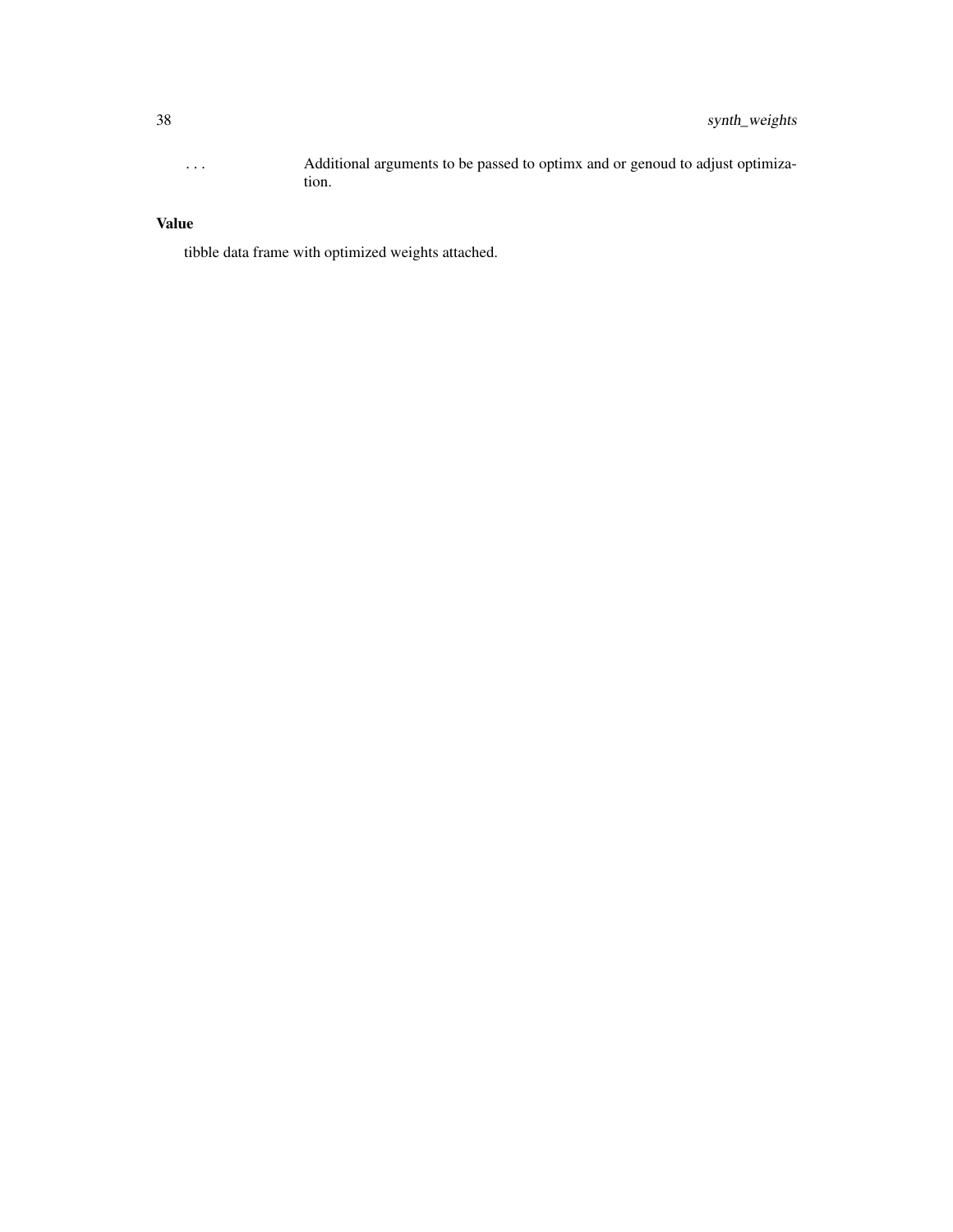... Additional arguments to be passed to optimx and or genoud to adjust optimization.

# Value

tibble data frame with optimized weights attached.